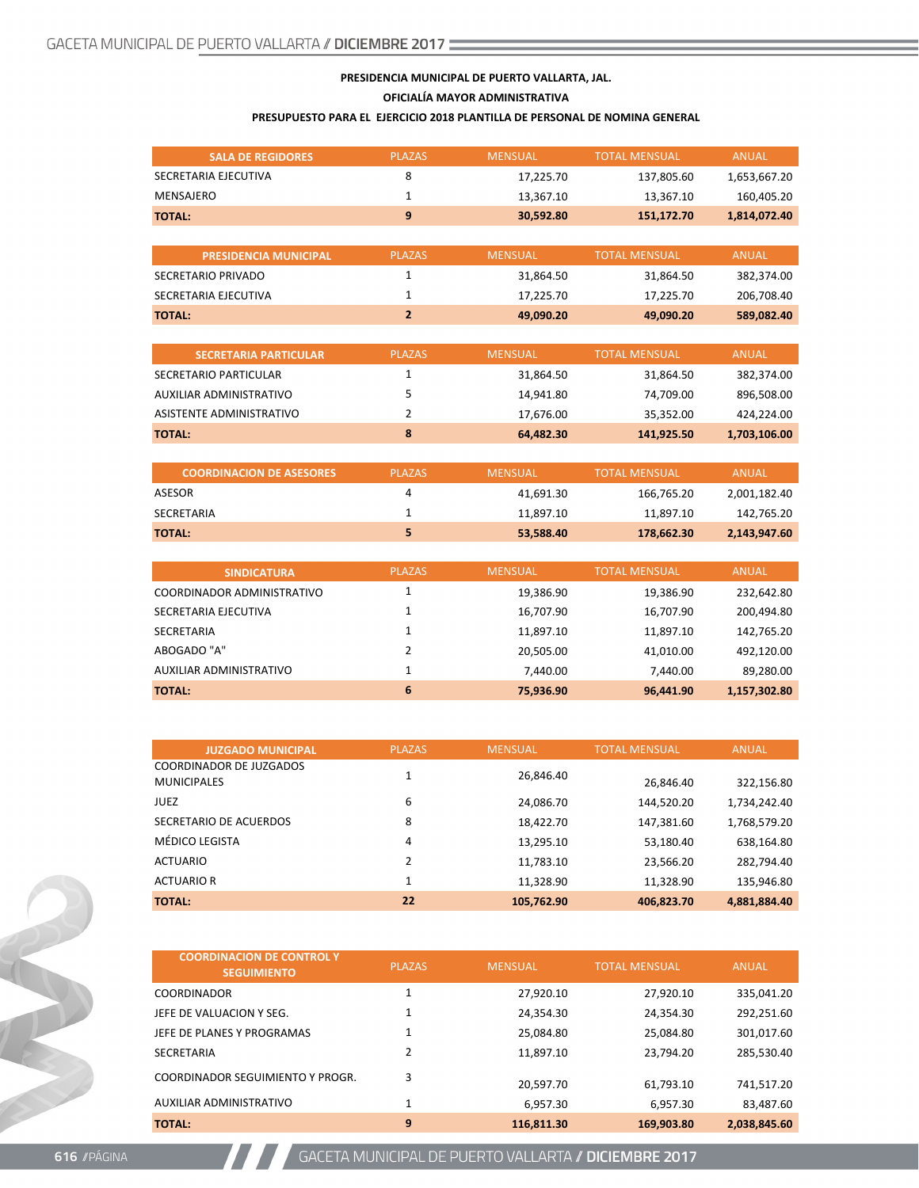#### **PRESIDENCIA MUNICIPAL DE PUERTO VALLARTA, JAL.**

**OFICIALÍA MAYOR ADMINISTRATIVA**

#### **PRESUPUESTO PARA EL EJERCICIO 2018 PLANTILLA DE PERSONAL DE NOMINA GENERAL**

| <b>SALA DE REGIDORES</b>                             | <b>PLAZAS</b>  | <b>MENSUAL</b> | <b>TOTAL MENSUAL</b> | <b>ANUAL</b> |
|------------------------------------------------------|----------------|----------------|----------------------|--------------|
| SECRETARIA EJECUTIVA                                 | 8              | 17,225.70      | 137,805.60           | 1,653,667.20 |
| <b>MENSAJERO</b>                                     | $\mathbf{1}$   | 13,367.10      | 13,367.10            | 160,405.20   |
| <b>TOTAL:</b>                                        | 9              | 30,592.80      | 151,172.70           | 1,814,072.40 |
|                                                      |                |                |                      |              |
| <b>PRESIDENCIA MUNICIPAL</b>                         | <b>PLAZAS</b>  | <b>MENSUAL</b> | <b>TOTAL MENSUAL</b> | <b>ANUAL</b> |
| SECRETARIO PRIVADO                                   | $\mathbf{1}$   | 31,864.50      | 31,864.50            | 382,374.00   |
| SECRETARIA EJECUTIVA                                 | 1              | 17,225.70      | 17,225.70            | 206,708.40   |
| <b>TOTAL:</b>                                        | $\overline{2}$ | 49,090.20      | 49,090.20            | 589,082.40   |
|                                                      |                |                |                      |              |
| <b>SECRETARIA PARTICULAR</b>                         | <b>PLAZAS</b>  | <b>MENSUAL</b> | <b>TOTAL MENSUAL</b> | <b>ANUAL</b> |
| SECRETARIO PARTICULAR                                | $\mathbf{1}$   | 31,864.50      | 31,864.50            | 382,374.00   |
| AUXILIAR ADMINISTRATIVO                              | 5              | 14,941.80      | 74,709.00            | 896,508.00   |
| ASISTENTE ADMINISTRATIVO                             | $\overline{2}$ | 17,676.00      | 35,352.00            | 424,224.00   |
| <b>TOTAL:</b>                                        | 8              | 64,482.30      | 141,925.50           | 1,703,106.00 |
|                                                      |                |                |                      |              |
| <b>COORDINACION DE ASESORES</b>                      | <b>PLAZAS</b>  | <b>MENSUAL</b> | <b>TOTAL MENSUAL</b> | <b>ANUAL</b> |
| <b>ASESOR</b>                                        | 4              | 41,691.30      | 166,765.20           | 2,001,182.40 |
| <b>SECRETARIA</b>                                    | 1              | 11,897.10      | 11,897.10            | 142,765.20   |
| <b>TOTAL:</b>                                        | 5              | 53,588.40      | 178,662.30           | 2,143,947.60 |
|                                                      |                |                |                      |              |
| <b>SINDICATURA</b>                                   | <b>PLAZAS</b>  | <b>MENSUAL</b> | <b>TOTAL MENSUAL</b> | <b>ANUAL</b> |
| COORDINADOR ADMINISTRATIVO                           | $\mathbf{1}$   | 19,386.90      | 19,386.90            | 232,642.80   |
| SECRETARIA EJECUTIVA                                 | 1              | 16,707.90      | 16,707.90            | 200,494.80   |
| <b>SECRETARIA</b>                                    | 1              | 11,897.10      | 11,897.10            | 142,765.20   |
| ABOGADO "A"                                          | $\overline{2}$ | 20,505.00      | 41,010.00            | 492,120.00   |
| <b>AUXILIAR ADMINISTRATIVO</b>                       | 1              | 7,440.00       | 7,440.00             | 89,280.00    |
| <b>TOTAL:</b>                                        | 6              | 75,936.90      | 96,441.90            | 1,157,302.80 |
|                                                      |                |                |                      |              |
|                                                      |                |                |                      |              |
| <b>JUZGADO MUNICIPAL</b><br>COORDINADOR DE ILIZGADOS | <b>PLAZAS</b>  | <b>MENSUAL</b> | <b>TOTAL MENSUAL</b> | <b>ANUAL</b> |

| <b>JUZGADO MUNICIPAL</b>       | <b>PLAZAS</b> | <b>MENSUAL</b> | <b>TOTAL MENSUAL</b> | <b>ANUAL</b> |
|--------------------------------|---------------|----------------|----------------------|--------------|
| <b>COORDINADOR DE JUZGADOS</b> |               |                |                      |              |
| <b>MUNICIPALES</b>             |               | 26,846.40      | 26,846.40            | 322,156.80   |
| <b>JUEZ</b>                    | 6             | 24,086.70      | 144,520.20           | 1,734,242.40 |
| SECRETARIO DE ACUERDOS         | 8             | 18,422.70      | 147,381.60           | 1,768,579.20 |
| MÉDICO LEGISTA                 | 4             | 13,295.10      | 53,180.40            | 638,164.80   |
| <b>ACTUARIO</b>                | 2             | 11,783.10      | 23,566.20            | 282,794.40   |
| <b>ACTUARIO R</b>              | 1             | 11,328.90      | 11,328.90            | 135,946.80   |
| <b>TOTAL:</b>                  | 22            | 105,762.90     | 406,823.70           | 4,881,884.40 |

| <b>COORDINACION DE CONTROL Y</b><br><b>SEGUIMIENTO</b> | <b>PLAZAS</b> | <b>MENSUAL</b> | <b>TOTAL MENSUAL</b> | <b>ANUAL</b> |
|--------------------------------------------------------|---------------|----------------|----------------------|--------------|
| <b>COORDINADOR</b>                                     | 1             | 27,920.10      | 27,920.10            | 335,041.20   |
| JEFE DE VALUACION Y SEG.                               | 1             | 24,354.30      | 24,354.30            | 292,251.60   |
| JEFE DE PLANES Y PROGRAMAS                             | 1             | 25,084.80      | 25,084.80            | 301,017.60   |
| <b>SECRETARIA</b>                                      | 2             | 11.897.10      | 23,794.20            | 285.530.40   |
| COORDINADOR SEGUIMIENTO Y PROGR.                       | 3             | 20.597.70      | 61,793.10            | 741,517.20   |
| AUXILIAR ADMINISTRATIVO                                | 1             | 6.957.30       | 6,957.30             | 83,487.60    |
| <b>TOTAL:</b>                                          | 9             | 116,811.30     | 169,903.80           | 2,038,845.60 |

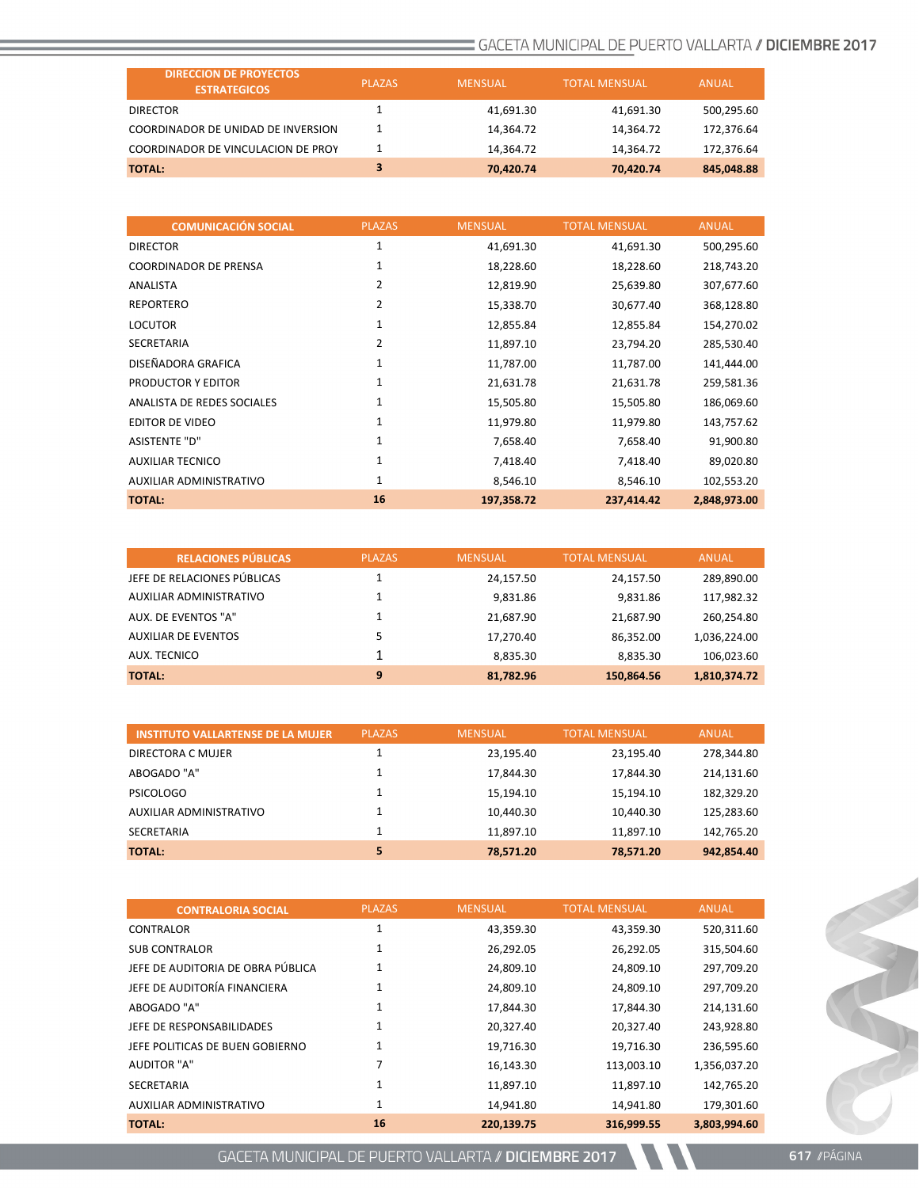| <b>DIRECCION DE PROYECTOS</b><br><b>ESTRATEGICOS</b> | <b>PLAZAS</b> | <b>MENSUAL</b> | <b>TOTAL MENSUAL</b> | ANUAL      |
|------------------------------------------------------|---------------|----------------|----------------------|------------|
| <b>DIRECTOR</b>                                      |               | 41.691.30      | 41.691.30            | 500,295.60 |
| COORDINADOR DE UNIDAD DE INVERSION                   |               | 14.364.72      | 14,364.72            | 172,376.64 |
| COORDINADOR DE VINCULACION DE PROY                   |               | 14.364.72      | 14.364.72            | 172.376.64 |
| <b>TOTAL:</b>                                        | 3             | 70.420.74      | 70.420.74            | 845,048.88 |

| <b>COMUNICACIÓN SOCIAL</b>   | <b>PLAZAS</b> | <b>MENSUAL</b> | <b>TOTAL MENSUAL</b> | <b>ANUAL</b> |
|------------------------------|---------------|----------------|----------------------|--------------|
| <b>DIRECTOR</b>              | 1             | 41,691.30      | 41,691.30            | 500,295.60   |
| <b>COORDINADOR DE PRENSA</b> | 1             | 18,228.60      | 18,228.60            | 218,743.20   |
| ANALISTA                     | 2             | 12,819.90      | 25,639.80            | 307,677.60   |
| <b>REPORTERO</b>             | 2             | 15,338.70      | 30,677.40            | 368,128.80   |
| <b>LOCUTOR</b>               | 1             | 12,855.84      | 12,855.84            | 154,270.02   |
| <b>SECRETARIA</b>            | 2             | 11,897.10      | 23,794.20            | 285,530.40   |
| DISEÑADORA GRAFICA           | 1             | 11,787.00      | 11,787.00            | 141,444.00   |
| PRODUCTOR Y EDITOR           | 1             | 21,631.78      | 21,631.78            | 259,581.36   |
| ANALISTA DE REDES SOCIALES   | $\mathbf{1}$  | 15,505.80      | 15,505.80            | 186,069.60   |
| <b>EDITOR DE VIDEO</b>       | $\mathbf{1}$  | 11,979.80      | 11,979.80            | 143,757.62   |
| <b>ASISTENTE "D"</b>         | 1             | 7,658.40       | 7,658.40             | 91,900.80    |
| <b>AUXILIAR TECNICO</b>      | 1             | 7,418.40       | 7,418.40             | 89,020.80    |
| AUXILIAR ADMINISTRATIVO      | $\mathbf{1}$  | 8,546.10       | 8,546.10             | 102,553.20   |
| <b>TOTAL:</b>                | 16            | 197,358.72     | 237,414.42           | 2,848,973.00 |

| <b>RELACIONES PÚBLICAS</b>  | <b>PLAZAS</b> | <b>MENSUAL</b> | <b>TOTAL MENSUAL</b> | <b>ANUAL</b> |
|-----------------------------|---------------|----------------|----------------------|--------------|
| JEFE DE RELACIONES PÚBLICAS |               | 24,157.50      | 24,157.50            | 289,890.00   |
| AUXILIAR ADMINISTRATIVO     |               | 9.831.86       | 9,831.86             | 117,982.32   |
| AUX. DE EVENTOS "A"         |               | 21,687.90      | 21,687.90            | 260,254.80   |
| <b>AUXILIAR DE EVENTOS</b>  |               | 17.270.40      | 86,352.00            | 1,036,224.00 |
| AUX. TECNICO                |               | 8,835.30       | 8,835.30             | 106,023.60   |
| TOTAL:                      | 9             | 81,782.96      | 150,864.56           | 1,810,374.72 |

| <b>INSTITUTO VALLARTENSE DE LA MUJER</b> | <b>PLAZAS</b> | <b>MENSUAL</b> | <b>TOTAL MENSUAL</b> | <b>ANUAL</b> |
|------------------------------------------|---------------|----------------|----------------------|--------------|
| DIRECTORA C MUJER                        |               | 23,195.40      | 23.195.40            | 278,344.80   |
| ABOGADO "A"                              |               | 17.844.30      | 17,844.30            | 214,131.60   |
| <b>PSICOLOGO</b>                         |               | 15.194.10      | 15.194.10            | 182,329.20   |
| AUXILIAR ADMINISTRATIVO                  |               | 10.440.30      | 10.440.30            | 125,283.60   |
| <b>SECRETARIA</b>                        |               | 11,897.10      | 11.897.10            | 142.765.20   |
| <b>TOTAL:</b>                            | 5             | 78.571.20      | 78.571.20            | 942.854.40   |

| <b>CONTRALORIA SOCIAL</b>         | <b>PLAZAS</b> | <b>MENSUAL</b> | <b>TOTAL MENSUAL</b> | <b>ANUAL</b> |
|-----------------------------------|---------------|----------------|----------------------|--------------|
| CONTRALOR                         | 1             | 43,359.30      | 43,359.30            | 520,311.60   |
| <b>SUB CONTRALOR</b>              | 1             | 26,292.05      | 26,292.05            | 315,504.60   |
| JEFE DE AUDITORIA DE OBRA PÚBLICA | 1             | 24,809.10      | 24,809.10            | 297,709.20   |
| JEFE DE AUDITORÍA FINANCIERA      |               | 24,809.10      | 24,809.10            | 297,709.20   |
| ABOGADO "A"                       | 1             | 17,844.30      | 17,844.30            | 214,131.60   |
| JEFE DE RESPONSABILIDADES         |               | 20,327.40      | 20,327.40            | 243,928.80   |
| JEFE POLITICAS DE BUEN GOBIERNO   | 1             | 19,716.30      | 19,716.30            | 236,595.60   |
| AUDITOR "A"                       | 7             | 16,143.30      | 113,003.10           | 1,356,037.20 |
| <b>SECRETARIA</b>                 | 1             | 11,897.10      | 11,897.10            | 142,765.20   |
| AUXILIAR ADMINISTRATIVO           | 1             | 14,941.80      | 14,941.80            | 179,301.60   |
| <b>TOTAL:</b>                     | 16            | 220,139.75     | 316,999.55           | 3,803,994.60 |

GACETA MUNICIPAL DE PUERTO VALLARTA // DICIEMBRE 2017

Control Com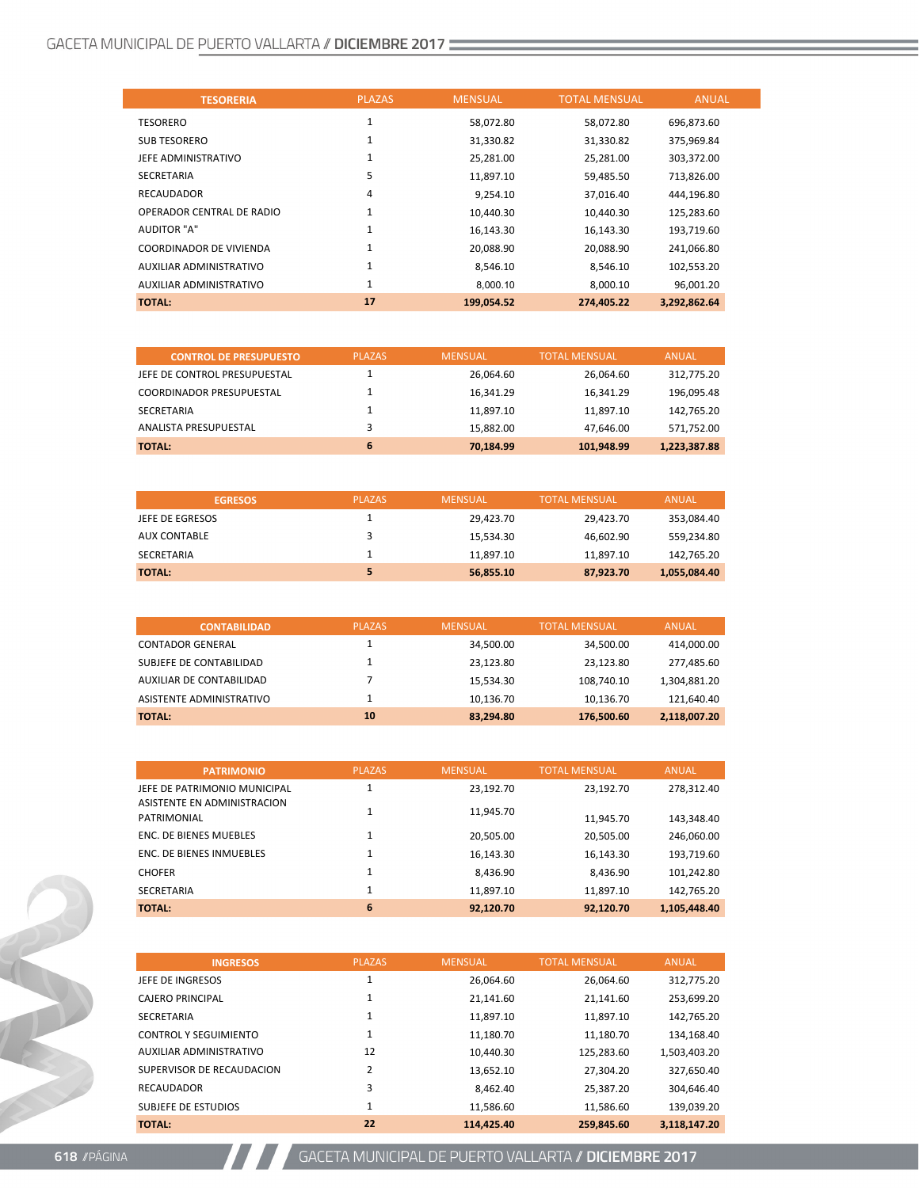| <b>TESORERIA</b>               | <b>PLAZAS</b> | <b>MENSUAL</b> | <b>TOTAL MENSUAL</b> | <b>ANUAL</b> |
|--------------------------------|---------------|----------------|----------------------|--------------|
| <b>TESORERO</b>                | $\mathbf{1}$  | 58,072.80      | 58,072.80            | 696,873.60   |
| <b>SUB TESORERO</b>            | 1             | 31,330.82      | 31,330.82            | 375,969.84   |
| JEFE ADMINISTRATIVO            | 1             | 25,281.00      | 25,281.00            | 303,372.00   |
| <b>SECRETARIA</b>              | 5             | 11,897.10      | 59,485.50            | 713,826.00   |
| <b>RECAUDADOR</b>              | 4             | 9,254.10       | 37,016.40            | 444,196.80   |
| OPERADOR CENTRAL DE RADIO      | 1             | 10,440.30      | 10,440.30            | 125,283.60   |
| <b>AUDITOR "A"</b>             | $\mathbf{1}$  | 16,143.30      | 16,143.30            | 193,719.60   |
| <b>COORDINADOR DE VIVIENDA</b> | $\mathbf{1}$  | 20,088.90      | 20,088.90            | 241,066.80   |
| AUXILIAR ADMINISTRATIVO        | $\mathbf{1}$  | 8.546.10       | 8.546.10             | 102,553.20   |
| AUXILIAR ADMINISTRATIVO        | $\mathbf{1}$  | 8.000.10       | 8.000.10             | 96.001.20    |
| <b>TOTAL:</b>                  | 17            | 199.054.52     | 274.405.22           | 3,292,862.64 |

| <b>CONTROL DE PRESUPUESTO</b>   | <b>PLAZAS</b> | <b>MENSUAL</b> | <b>TOTAL MENSUAL</b> | <b>ANUAL</b> |
|---------------------------------|---------------|----------------|----------------------|--------------|
| JEFE DE CONTROL PRESUPUESTAL    |               | 26.064.60      | 26.064.60            | 312,775.20   |
| <b>COORDINADOR PRESUPUESTAL</b> |               | 16.341.29      | 16.341.29            | 196,095.48   |
| SECRETARIA                      |               | 11.897.10      | 11,897.10            | 142,765.20   |
| ANALISTA PRESUPUESTAL           |               | 15.882.00      | 47.646.00            | 571,752.00   |
| <b>TOTAL:</b>                   | 6             | 70.184.99      | 101.948.99           | 1,223,387.88 |

| <b>EGRESOS</b>      | <b>PLAZAS</b> | <b>MENSUAL</b> | <b>TOTAL MENSUAL</b> | <b>ANUAL</b> |
|---------------------|---------------|----------------|----------------------|--------------|
| JEFE DE EGRESOS     |               | 29.423.70      | 29.423.70            | 353,084.40   |
| <b>AUX CONTABLE</b> |               | 15.534.30      | 46,602.90            | 559,234.80   |
| <b>SECRETARIA</b>   |               | 11.897.10      | 11,897.10            | 142,765.20   |
| <b>TOTAL:</b>       | 5             | 56,855.10      | 87,923.70            | 1,055,084.40 |

| <b>CONTABILIDAD</b>      | <b>PLAZAS</b> | <b>MENSUAL</b> | <b>TOTAL MENSUAL</b> | <b>ANUAL</b> |
|--------------------------|---------------|----------------|----------------------|--------------|
| <b>CONTADOR GENERAL</b>  |               | 34,500.00      | 34,500.00            | 414,000.00   |
| SUBJEFE DE CONTABILIDAD  |               | 23.123.80      | 23,123.80            | 277,485.60   |
| AUXILIAR DE CONTABILIDAD |               | 15.534.30      | 108,740.10           | 1,304,881.20 |
| ASISTENTE ADMINISTRATIVO |               | 10.136.70      | 10,136.70            | 121.640.40   |
| <b>TOTAL:</b>            | 10            | 83.294.80      | 176.500.60           | 2,118,007.20 |

| <b>PATRIMONIO</b>                          | <b>PLAZAS</b> | <b>MENSUAL</b> | <b>TOTAL MENSUAL</b> | <b>ANUAL</b> |
|--------------------------------------------|---------------|----------------|----------------------|--------------|
| JEFE DE PATRIMONIO MUNICIPAL               |               | 23.192.70      | 23.192.70            | 278.312.40   |
| ASISTENTE EN ADMINISTRACION<br>PATRIMONIAL |               | 11,945.70      | 11,945.70            | 143,348.40   |
| <b>ENC. DE BIENES MUEBLES</b>              |               | 20,505.00      | 20,505.00            | 246,060.00   |
| <b>ENC. DE BIENES INMUEBLES</b>            |               | 16,143.30      | 16,143.30            | 193,719.60   |
| <b>CHOFER</b>                              |               | 8,436.90       | 8,436.90             | 101,242.80   |
| <b>SECRETARIA</b>                          | 1             | 11,897.10      | 11,897.10            | 142,765.20   |
| <b>TOTAL:</b>                              | 6             | 92.120.70      | 92.120.70            | 1,105,448.40 |

| <b>INGRESOS</b>              | <b>PLAZAS</b>  | <b>MENSUAL</b> | <b>TOTAL MENSUAL</b> | <b>ANUAL</b> |
|------------------------------|----------------|----------------|----------------------|--------------|
| JEFE DE INGRESOS             | 1              | 26.064.60      | 26.064.60            | 312,775.20   |
| <b>CAJERO PRINCIPAL</b>      | 1              | 21,141.60      | 21,141.60            | 253,699.20   |
| <b>SECRETARIA</b>            | 1              | 11.897.10      | 11.897.10            | 142,765.20   |
| <b>CONTROL Y SEGUIMIENTO</b> | 1              | 11,180.70      | 11.180.70            | 134,168.40   |
| AUXILIAR ADMINISTRATIVO      | 12             | 10.440.30      | 125.283.60           | 1,503,403.20 |
| SUPERVISOR DE RECAUDACION    | $\overline{2}$ | 13.652.10      | 27,304.20            | 327,650.40   |
| <b>RECAUDADOR</b>            | 3              | 8.462.40       | 25.387.20            | 304.646.40   |
| SUBJEFE DE ESTUDIOS          | 1              | 11.586.60      | 11.586.60            | 139,039.20   |
| <b>TOTAL:</b>                | 22             | 114.425.40     | 259.845.60           | 3.118.147.20 |



**A ARTICIPAL DE PUERTO VALLARTA / DICIEMBRE 2017**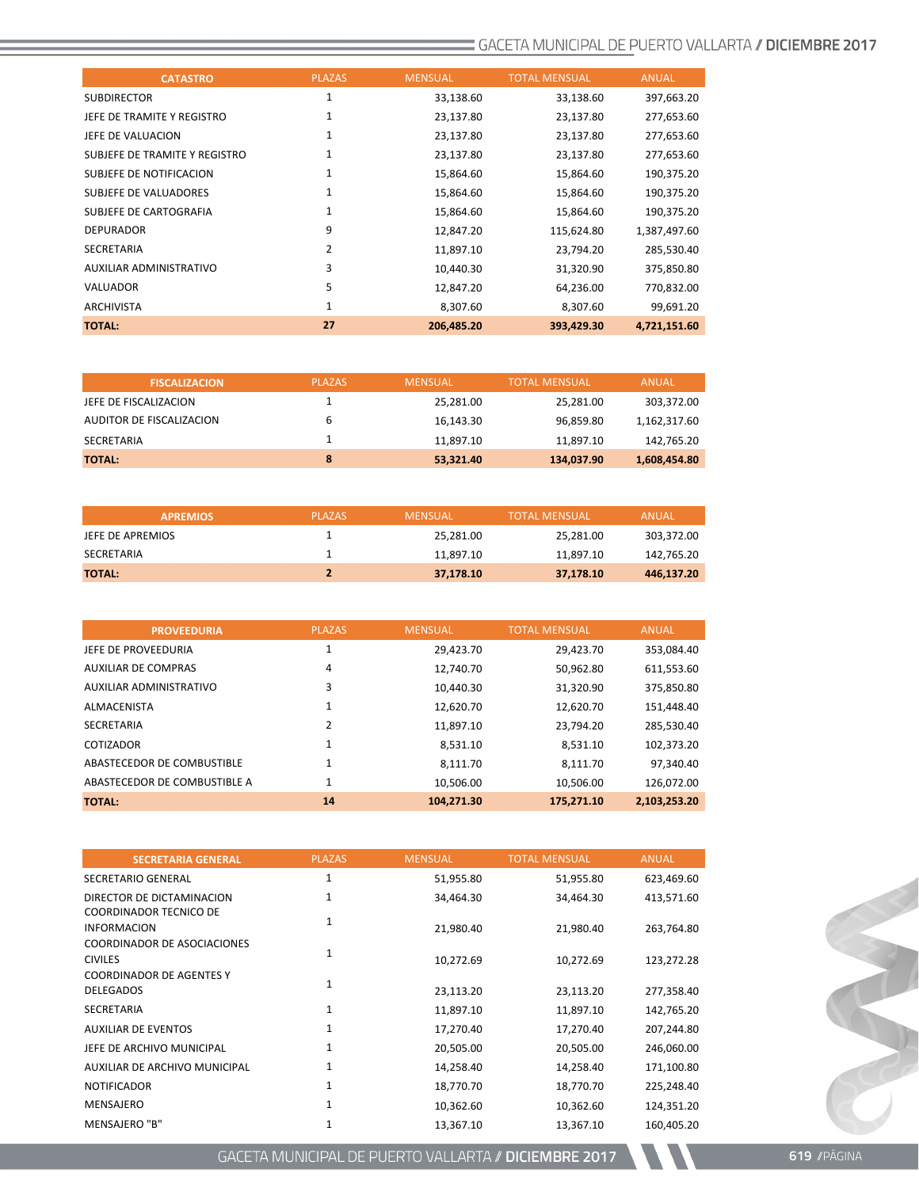| <b>CATASTRO</b>               | <b>PLAZAS</b> | <b>MENSUAL</b> | <b>TOTAL MENSUAL</b> | <b>ANUAL</b> |
|-------------------------------|---------------|----------------|----------------------|--------------|
| <b>SUBDIRECTOR</b>            | 1             | 33,138.60      | 33,138.60            | 397,663.20   |
| JEFE DE TRAMITE Y REGISTRO    | 1             | 23,137.80      | 23,137.80            | 277,653.60   |
| JEFE DE VALUACION             | 1             | 23,137.80      | 23,137.80            | 277,653.60   |
| SUBJEFE DE TRAMITE Y REGISTRO | 1             | 23,137.80      | 23,137.80            | 277,653.60   |
| SUBJEFE DE NOTIFICACION       | 1             | 15,864.60      | 15,864.60            | 190,375.20   |
| SUBJEFE DE VALUADORES         | 1             | 15,864.60      | 15,864.60            | 190,375.20   |
| SUBJEFE DE CARTOGRAFIA        | 1             | 15,864.60      | 15,864.60            | 190,375.20   |
| <b>DEPURADOR</b>              | 9             | 12,847.20      | 115,624.80           | 1,387,497.60 |
| <b>SECRETARIA</b>             | 2             | 11,897.10      | 23,794.20            | 285,530.40   |
| AUXILIAR ADMINISTRATIVO       | 3             | 10,440.30      | 31,320.90            | 375,850.80   |
| <b>VALUADOR</b>               | 5             | 12,847.20      | 64,236.00            | 770,832.00   |
| <b>ARCHIVISTA</b>             | $\mathbf{1}$  | 8,307.60       | 8,307.60             | 99,691.20    |
| <b>TOTAL:</b>                 | 27            | 206,485.20     | 393,429.30           | 4,721,151.60 |

| <b>FISCALIZACION</b>     | <b>PLAZAS</b> | <b>MENSUAL</b> | <b>TOTAL MENSUAL</b> | ANUAL        |
|--------------------------|---------------|----------------|----------------------|--------------|
| JEFE DE FISCALIZACION    |               | 25,281.00      | 25,281.00            | 303,372.00   |
| AUDITOR DE FISCALIZACION |               | 16.143.30      | 96,859.80            | 1,162,317.60 |
| SECRETARIA               |               | 11.897.10      | 11.897.10            | 142,765.20   |
| <b>TOTAL:</b>            | 8             | 53,321.40      | 134,037.90           | 1,608,454.80 |

| <b>APREMIOS</b>  | <b>PLAZAS</b> | <b>MENSUAL</b> | <b>TOTAL MENSUAL</b> | ANUAL      |
|------------------|---------------|----------------|----------------------|------------|
| JEFE DE APREMIOS |               | 25.281.00      | 25,281.00            | 303,372.00 |
| SECRETARIA       |               | 11.897.10      | 11.897.10            | 142.765.20 |
| <b>TOTAL:</b>    |               | 37.178.10      | 37.178.10            | 446,137.20 |

| <b>PROVEEDURIA</b>           | <b>PLAZAS</b> | <b>MENSUAL</b> | <b>TOTAL MENSUAL</b> | <b>ANUAL</b> |
|------------------------------|---------------|----------------|----------------------|--------------|
| JEFE DE PROVEEDURIA          |               | 29,423.70      | 29,423.70            | 353,084.40   |
| <b>AUXILIAR DE COMPRAS</b>   | 4             | 12,740.70      | 50,962.80            | 611,553.60   |
| AUXILIAR ADMINISTRATIVO      | 3             | 10.440.30      | 31.320.90            | 375,850.80   |
| <b>ALMACENISTA</b>           | 1             | 12,620.70      | 12,620.70            | 151,448.40   |
| SECRETARIA                   | 2             | 11,897.10      | 23.794.20            | 285,530.40   |
| COTIZADOR                    | 1             | 8,531.10       | 8,531.10             | 102,373.20   |
| ABASTECEDOR DE COMBUSTIBLE   | 1             | 8.111.70       | 8.111.70             | 97,340.40    |
| ABASTECEDOR DE COMBUSTIBLE A | 1             | 10,506.00      | 10,506.00            | 126,072.00   |
| <b>TOTAL:</b>                | 14            | 104,271.30     | 175,271.10           | 2,103,253.20 |

| <b>SECRETARIA GENERAL</b>                                                          | <b>PLAZAS</b> | <b>MENSUAL</b> | <b>TOTAL MENSUAL</b> | <b>ANUAL</b> |
|------------------------------------------------------------------------------------|---------------|----------------|----------------------|--------------|
| <b>SECRETARIO GENERAL</b>                                                          | 1             | 51,955.80      | 51,955.80            | 623,469.60   |
| DIRECTOR DE DICTAMINACION                                                          | 1             | 34,464.30      | 34,464.30            | 413,571.60   |
| COORDINADOR TECNICO DE<br><b>INFORMACION</b><br><b>COORDINADOR DE ASOCIACIONES</b> | $\mathbf{1}$  | 21,980.40      | 21,980.40            | 263,764.80   |
| <b>CIVILES</b><br><b>COORDINADOR DE AGENTES Y</b>                                  | 1             | 10,272.69      | 10,272.69            | 123,272.28   |
| <b>DELEGADOS</b>                                                                   | 1             | 23,113.20      | 23,113.20            | 277,358.40   |
| <b>SECRETARIA</b>                                                                  | $\mathbf{1}$  | 11,897.10      | 11,897.10            | 142,765.20   |
| <b>AUXILIAR DE EVENTOS</b>                                                         | 1             | 17,270.40      | 17,270.40            | 207,244.80   |
| JEFE DE ARCHIVO MUNICIPAL                                                          | $\mathbf{1}$  | 20,505.00      | 20,505.00            | 246,060.00   |
| AUXILIAR DE ARCHIVO MUNICIPAL                                                      | 1             | 14,258.40      | 14,258.40            | 171,100.80   |
| <b>NOTIFICADOR</b>                                                                 | $\mathbf{1}$  | 18,770.70      | 18,770.70            | 225,248.40   |
| MENSAJERO                                                                          | 1             | 10,362.60      | 10,362.60            | 124,351.20   |
| <b>MENSAJERO "B"</b>                                                               | 1             | 13,367.10      | 13,367.10            | 160,405.20   |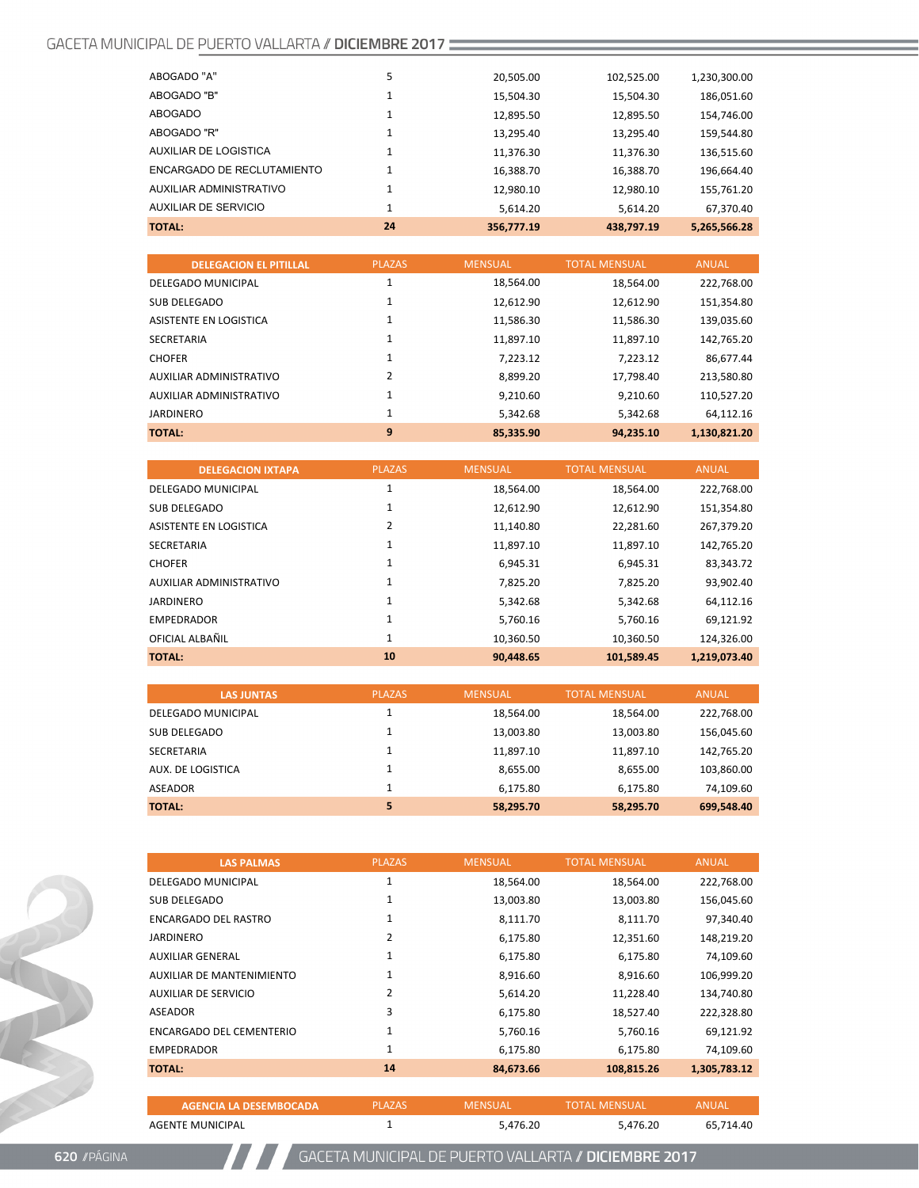| ABOGADO "A"                | 5  | 20,505.00  | 102.525.00 | 1,230,300.00 |
|----------------------------|----|------------|------------|--------------|
|                            |    |            |            |              |
| ABOGADO "B"                |    | 15,504.30  | 15,504.30  | 186,051.60   |
| ABOGADO                    |    | 12,895.50  | 12,895.50  | 154,746.00   |
| ABOGADO "R"                |    | 13,295.40  | 13,295.40  | 159,544.80   |
| AUXILIAR DE LOGISTICA      |    | 11,376.30  | 11,376.30  | 136,515.60   |
| ENCARGADO DE RECLUTAMIENTO | 1  | 16,388.70  | 16,388.70  | 196,664.40   |
| AUXILIAR ADMINISTRATIVO    | 1  | 12.980.10  | 12.980.10  | 155.761.20   |
| AUXILIAR DE SERVICIO       | 1  | 5.614.20   | 5.614.20   | 67.370.40    |
| <b>TOTAL:</b>              | 24 | 356.777.19 | 438.797.19 | 5,265,566.28 |

| <b>DELEGACION EL PITILLAL</b> | <b>PLAZAS</b>  | <b>MENSUAL</b> | <b>TOTAL MENSUAL</b> | <b>ANUAL</b> |
|-------------------------------|----------------|----------------|----------------------|--------------|
| DELEGADO MUNICIPAL            | 1              | 18,564.00      | 18,564.00            | 222,768.00   |
| SUB DELEGADO                  | 1              | 12,612.90      | 12,612.90            | 151,354.80   |
| ASISTENTE EN LOGISTICA        | 1              | 11.586.30      | 11.586.30            | 139,035.60   |
| SECRETARIA                    |                | 11,897.10      | 11,897.10            | 142,765.20   |
| <b>CHOFER</b>                 | 1              | 7,223.12       | 7,223.12             | 86.677.44    |
| AUXILIAR ADMINISTRATIVO       | $\overline{2}$ | 8.899.20       | 17,798.40            | 213,580.80   |
| AUXILIAR ADMINISTRATIVO       | 1              | 9.210.60       | 9.210.60             | 110,527.20   |
| <b>JARDINERO</b>              | $\mathbf{1}$   | 5,342.68       | 5.342.68             | 64.112.16    |
| <b>TOTAL:</b>                 | 9              | 85.335.90      | 94.235.10            | 1.130.821.20 |

| <b>DELEGACION IXTAPA</b>       | <b>PLAZAS</b> | <b>MENSUAL</b> | <b>TOTAL MENSUAL</b> | <b>ANUAL</b> |
|--------------------------------|---------------|----------------|----------------------|--------------|
| DELEGADO MUNICIPAL             | 1             | 18,564.00      | 18,564.00            | 222,768.00   |
| SUB DELEGADO                   | 1             | 12,612.90      | 12,612.90            | 151,354.80   |
| ASISTENTE EN LOGISTICA         | 2             | 11,140.80      | 22,281.60            | 267,379.20   |
| <b>SECRETARIA</b>              | 1             | 11,897.10      | 11,897.10            | 142,765.20   |
| <b>CHOFER</b>                  | 1             | 6,945.31       | 6,945.31             | 83,343.72    |
| <b>AUXILIAR ADMINISTRATIVO</b> | 1             | 7,825.20       | 7,825.20             | 93,902.40    |
| <b>JARDINERO</b>               | 1             | 5,342.68       | 5,342.68             | 64,112.16    |
| <b>EMPEDRADOR</b>              | 1             | 5.760.16       | 5.760.16             | 69,121.92    |
| OFICIAL ALBAÑIL                | 1             | 10,360.50      | 10,360.50            | 124,326.00   |
| <b>TOTAL:</b>                  | 10            | 90.448.65      | 101,589.45           | 1,219,073.40 |

| <b>LAS JUNTAS</b>  | <b>PLAZAS</b> | <b>MENSUAL</b> | <b>TOTAL MENSUAL</b> | <b>ANUAL</b> |
|--------------------|---------------|----------------|----------------------|--------------|
| DELEGADO MUNICIPAL |               | 18,564.00      | 18,564.00            | 222,768.00   |
| SUB DELEGADO       |               | 13,003.80      | 13,003.80            | 156,045.60   |
| SECRETARIA         |               | 11,897.10      | 11,897.10            | 142,765.20   |
| AUX. DE LOGISTICA  |               | 8,655.00       | 8,655.00             | 103,860.00   |
| ASEADOR            |               | 6.175.80       | 6.175.80             | 74,109.60    |
| <b>TOTAL:</b>      | 5             | 58,295.70      | 58,295.70            | 699.548.40   |

| <b>LAS PALMAS</b>                | <b>PLAZAS</b> | <b>MENSUAL</b> | <b>TOTAL MENSUAL</b> | <b>ANUAL</b> |
|----------------------------------|---------------|----------------|----------------------|--------------|
| DELEGADO MUNICIPAL               | 1             | 18,564.00      | 18,564.00            | 222,768.00   |
| <b>SUB DELEGADO</b>              | 1             | 13,003.80      | 13,003.80            | 156,045.60   |
| <b>ENCARGADO DEL RASTRO</b>      | 1             | 8,111.70       | 8,111.70             | 97,340.40    |
| <b>JARDINERO</b>                 | 2             | 6,175.80       | 12,351.60            | 148,219.20   |
| <b>AUXILIAR GENERAL</b>          | 1             | 6,175.80       | 6,175.80             | 74,109.60    |
| <b>AUXILIAR DE MANTENIMIENTO</b> | 1             | 8,916.60       | 8,916.60             | 106,999.20   |
| AUXILIAR DE SERVICIO             | 2             | 5,614.20       | 11,228.40            | 134,740.80   |
| ASEADOR                          | 3             | 6,175.80       | 18,527.40            | 222,328.80   |
| <b>ENCARGADO DEL CEMENTERIO</b>  | 1             | 5,760.16       | 5,760.16             | 69,121.92    |
| <b>EMPEDRADOR</b>                | 1             | 6,175.80       | 6,175.80             | 74,109.60    |
| <b>TOTAL:</b>                    | 14            | 84,673.66      | 108,815.26           | 1,305,783.12 |
|                                  |               |                |                      |              |
| <b>AGENCIA LA DESEMBOCADA</b>    | <b>PLAZAS</b> | <b>MENSUAL</b> | <b>TOTAL MENSUAL</b> | <b>ANUAL</b> |

AGENTE MUNICIPAL 1 5,476.20 5,476.20 65,714.40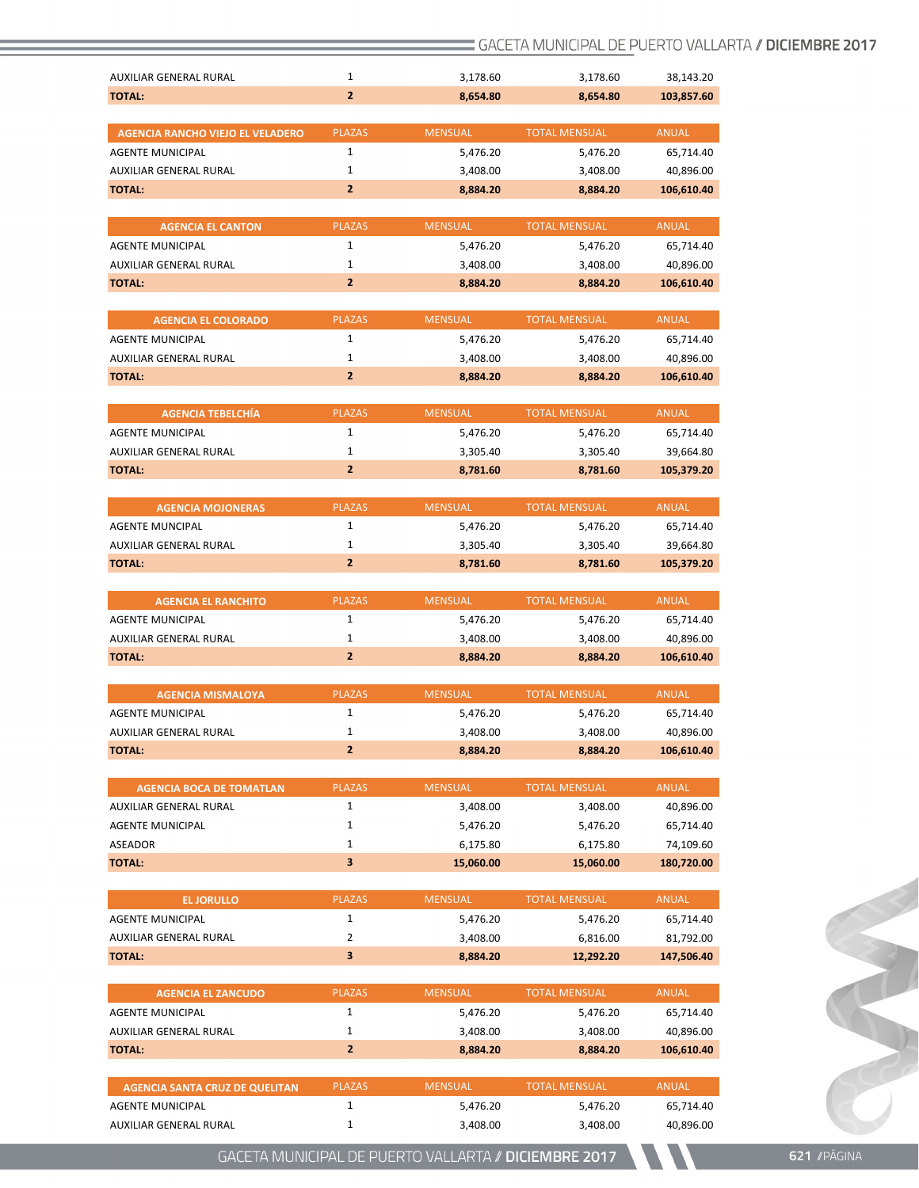| AUXILIAR GENERAL RURAL                            | $\mathbf{1}$                   | 3,178.60             | 3,178.60             | 38,143.20              |
|---------------------------------------------------|--------------------------------|----------------------|----------------------|------------------------|
| <b>TOTAL:</b>                                     | $\overline{2}$                 | 8,654.80             | 8,654.80             | 103,857.60             |
|                                                   |                                |                      |                      |                        |
| <b>AGENCIA RANCHO VIEJO EL VELADERO</b>           | <b>PLAZAS</b>                  | <b>MENSUAL</b>       | <b>TOTAL MENSUAL</b> | <b>ANUAL</b>           |
| <b>AGENTE MUNICIPAL</b>                           | $\mathbf{1}$                   | 5,476.20             | 5,476.20             | 65,714.40              |
| <b>AUXILIAR GENERAL RURAL</b>                     | $\mathbf{1}$                   | 3,408.00             | 3,408.00             | 40,896.00              |
| <b>TOTAL:</b>                                     | $\overline{2}$                 | 8,884.20             | 8,884.20             | 106,610.40             |
| <b>AGENCIA EL CANTON</b>                          | <b>PLAZAS</b>                  | <b>MENSUAL</b>       | <b>TOTAL MENSUAL</b> | <b>ANUAL</b>           |
| <b>AGENTE MUNICIPAL</b>                           | $\mathbf{1}$                   | 5,476.20             | 5,476.20             | 65,714.40              |
| <b>AUXILIAR GENERAL RURAL</b>                     | $\mathbf{1}$                   | 3,408.00             | 3,408.00             | 40,896.00              |
| <b>TOTAL:</b>                                     | $\overline{2}$                 | 8,884.20             | 8,884.20             | 106,610.40             |
| <b>AGENCIA EL COLORADO</b>                        | <b>PLAZAS</b>                  | <b>MENSUAL</b>       | <b>TOTAL MENSUAL</b> | <b>ANUAL</b>           |
| <b>AGENTE MUNICIPAL</b>                           | $\mathbf{1}$                   | 5,476.20             | 5,476.20             | 65,714.40              |
| AUXILIAR GENERAL RURAL                            | $\mathbf{1}$                   | 3,408.00             | 3,408.00             | 40,896.00              |
| <b>TOTAL:</b>                                     | $\overline{2}$                 | 8,884.20             | 8,884.20             | 106,610.40             |
|                                                   |                                |                      |                      |                        |
| <b>AGENCIA TEBELCHÍA</b>                          | <b>PLAZAS</b>                  | <b>MENSUAL</b>       | <b>TOTAL MENSUAL</b> | <b>ANUAL</b>           |
| <b>AGENTE MUNICIPAL</b>                           | $\mathbf{1}$                   | 5,476.20             | 5,476.20             | 65,714.40              |
| <b>AUXILIAR GENERAL RURAL</b>                     | $\mathbf{1}$                   | 3,305.40             | 3,305.40             | 39,664.80              |
| <b>TOTAL:</b>                                     | $\overline{2}$                 | 8,781.60             | 8,781.60             | 105,379.20             |
| <b>AGENCIA MOJONERAS</b>                          | <b>PLAZAS</b>                  | <b>MENSUAL</b>       | <b>TOTAL MENSUAL</b> | <b>ANUAL</b>           |
| <b>AGENTE MUNCIPAL</b>                            | $\mathbf{1}$                   | 5,476.20             | 5,476.20             | 65,714.40              |
| AUXILIAR GENERAL RURAL                            | $\mathbf{1}$                   | 3,305.40             | 3,305.40             | 39,664.80              |
| <b>TOTAL:</b>                                     | $\overline{2}$                 | 8,781.60             | 8,781.60             | 105,379.20             |
|                                                   |                                |                      |                      |                        |
| <b>AGENCIA EL RANCHITO</b>                        | <b>PLAZAS</b><br>$\mathbf{1}$  | <b>MENSUAL</b>       | <b>TOTAL MENSUAL</b> | <b>ANUAL</b>           |
| <b>AGENTE MUNICIPAL</b><br>AUXILIAR GENERAL RURAL | $\mathbf{1}$                   | 5,476.20<br>3,408.00 | 5,476.20             | 65,714.40<br>40,896.00 |
| <b>TOTAL:</b>                                     | $\overline{2}$                 | 8,884.20             | 3,408.00<br>8,884.20 | 106,610.40             |
|                                                   |                                |                      |                      |                        |
| <b>AGENCIA MISMALOYA</b>                          | <b>PLAZAS</b>                  | <b>MENSUAL</b>       | <b>TOTAL MENSUAL</b> | <b>ANUAL</b>           |
| <b>AGENTE MUNICIPAL</b>                           | $\mathbf{1}$                   | 5,476.20             | 5,476.20             | 65,714.40              |
| AUXILIAR GENERAL RURAL                            | $\mathbf{1}$                   | 3,408.00             | 3,408.00             | 40,896.00              |
| <b>TOTAL:</b>                                     | $\overline{2}$                 | 8,884.20             | 8,884.20             | 106,610.40             |
| <b>AGENCIA BOCA DE TOMATLAN</b>                   | <b>PLAZAS</b>                  | <b>MENSUAL</b>       | <b>TOTAL MENSUAL</b> | <b>ANUAL</b>           |
| AUXILIAR GENERAL RURAL                            | $\mathbf{1}$                   | 3,408.00             | 3,408.00             | 40,896.00              |
| <b>AGENTE MUNICIPAL</b>                           | $\mathbf{1}$                   | 5,476.20             | 5,476.20             | 65,714.40              |
| ASEADOR                                           | $\mathbf{1}$                   | 6,175.80             | 6,175.80             | 74,109.60              |
| <b>TOTAL:</b>                                     | 3                              | 15,060.00            | 15,060.00            | 180,720.00             |
| <b>EL JORULLO</b>                                 | <b>PLAZAS</b>                  | <b>MENSUAL</b>       | <b>TOTAL MENSUAL</b> | <b>ANUAL</b>           |
| <b>AGENTE MUNICIPAL</b>                           | $\mathbf{1}$                   | 5,476.20             | 5,476.20             | 65,714.40              |
| AUXILIAR GENERAL RURAL                            | $\overline{2}$                 | 3,408.00             | 6,816.00             | 81,792.00              |
| <b>TOTAL:</b>                                     | 3                              | 8,884.20             | 12,292.20            | 147,506.40             |
|                                                   |                                |                      |                      |                        |
| <b>AGENCIA EL ZANCUDO</b>                         | <b>PLAZAS</b><br>$\mathbf{1}$  | <b>MENSUAL</b>       | <b>TOTAL MENSUAL</b> | <b>ANUAL</b>           |
| <b>AGENTE MUNICIPAL</b>                           |                                | 5,476.20             | 5,476.20             | 65,714.40              |
| AUXILIAR GENERAL RURAL                            | $\mathbf{1}$<br>$\overline{2}$ | 3,408.00             | 3,408.00             | 40,896.00              |
| <b>TOTAL:</b>                                     |                                | 8,884.20             | 8,884.20             | 106,610.40             |
| <b>AGENCIA SANTA CRUZ DE QUELITAN</b>             | <b>PLAZAS</b>                  | <b>MENSUAL</b>       | <b>TOTAL MENSUAL</b> | <b>ANUAL</b>           |
| <b>AGENTE MUNICIPAL</b>                           | $\mathbf{1}$                   | 5,476.20             | 5,476.20             | 65,714.40              |
| AUXILIAR GENERAL RURAL                            | $\mathbf{1}$                   | 3,408.00             | 3,408.00             | 40,896.00              |

Cart Com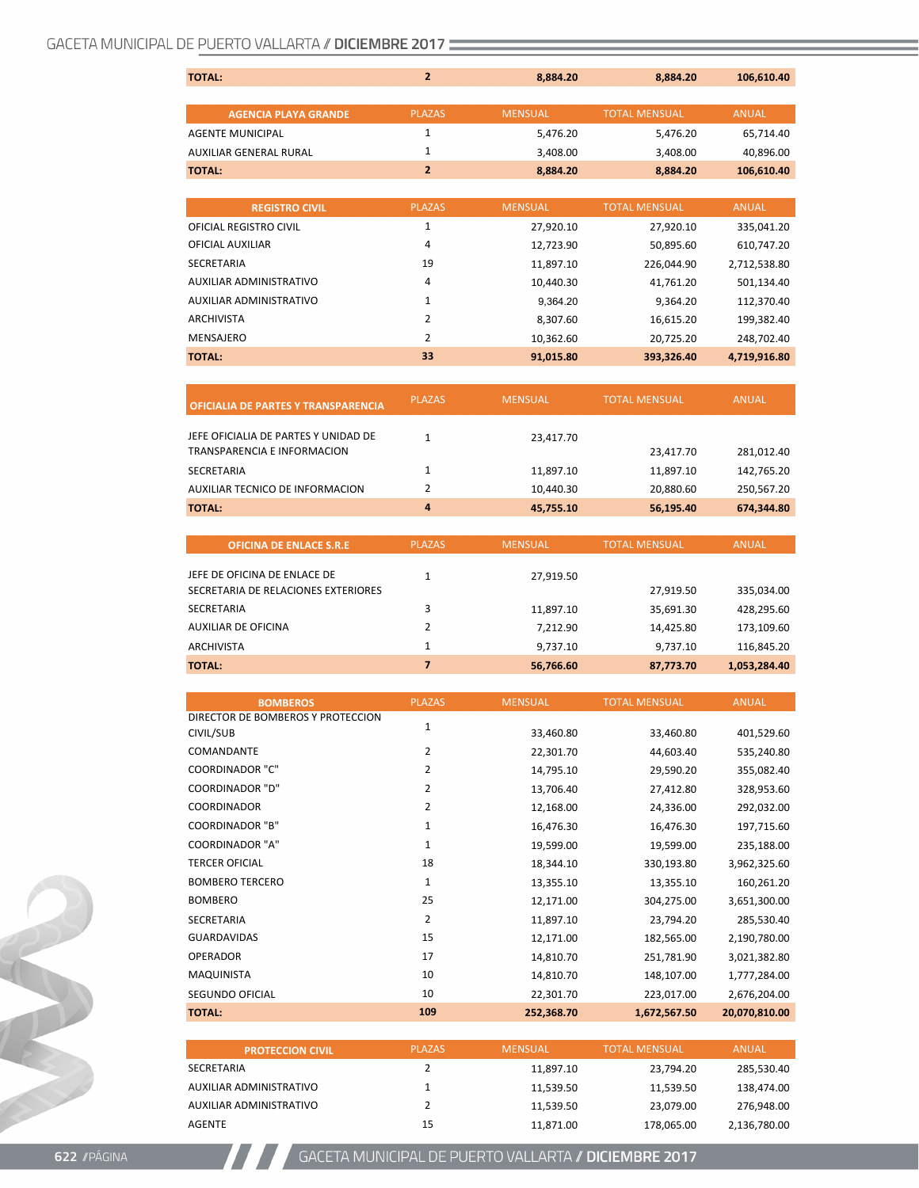| <b>TOTAL:</b>                 | $\overline{2}$ | 8,884.20       | 8,884.20             | 106,610.40   |
|-------------------------------|----------------|----------------|----------------------|--------------|
|                               |                |                |                      |              |
| <b>AGENCIA PLAYA GRANDE</b>   | <b>PLAZAS</b>  | <b>MENSUAL</b> | <b>TOTAL MENSUAL</b> | <b>ANUAL</b> |
| <b>AGENTE MUNICIPAL</b>       | $\mathbf{1}$   | 5,476.20       | 5,476.20             | 65,714.40    |
| <b>AUXILIAR GENERAL RURAL</b> | $\mathbf{1}$   | 3,408.00       | 3,408.00             | 40,896.00    |
| <b>TOTAL:</b>                 | $\overline{2}$ | 8,884.20       | 8,884.20             | 106,610.40   |
|                               |                |                |                      |              |
| <b>REGISTRO CIVIL</b>         | <b>PLAZAS</b>  | <b>MENSUAL</b> | <b>TOTAL MENSUAL</b> | <b>ANUAL</b> |
| OFICIAL REGISTRO CIVIL        | $\mathbf{1}$   | 27,920.10      | 27,920.10            | 335,041.20   |
| OFICIAL AUXILIAR              | 4              | 12,723.90      | 50,895.60            | 610,747.20   |
| <b>SECRETARIA</b>             | 19             | 11,897.10      | 226,044.90           | 2,712,538.80 |
| AUXILIAR ADMINISTRATIVO       | 4              | 10,440.30      | 41,761.20            | 501,134.40   |
| AUXILIAR ADMINISTRATIVO       | $\mathbf{1}$   | 9,364.20       | 9,364.20             | 112,370.40   |
| <b>ARCHIVISTA</b>             | 2              | 8,307.60       | 16,615.20            | 199,382.40   |
| <b>MENSAJERO</b>              | 2              | 10,362.60      | 20,725.20            | 248,702.40   |
| <b>TOTAL:</b>                 | 33             | 91,015.80      | 393,326.40           | 4,719,916.80 |
|                               |                |                |                      |              |

| <b>OFICIALIA DE PARTES Y TRANSPARENCIA</b>                                 | <b>PLAZAS</b> | <b>MENSUAL</b> | <b>TOTAL MENSUAL</b> | <b>ANUAL</b> |
|----------------------------------------------------------------------------|---------------|----------------|----------------------|--------------|
| JEFE OFICIALIA DE PARTES Y UNIDAD DE<br><b>TRANSPARENCIA E INFORMACION</b> | $\mathbf{1}$  | 23,417.70      | 23,417.70            | 281,012.40   |
| <b>SECRETARIA</b>                                                          | $\mathbf{1}$  | 11,897.10      | 11,897.10            | 142,765.20   |
| AUXILIAR TECNICO DE INFORMACION                                            | 2             | 10,440.30      | 20,880.60            | 250,567.20   |
| <b>TOTAL:</b>                                                              | 4             | 45,755.10      | 56,195.40            | 674,344.80   |
|                                                                            |               |                |                      |              |
|                                                                            |               |                |                      |              |
| <b>OFICINA DE ENLACE S.R.E</b>                                             | <b>PLAZAS</b> | <b>MENSUAL</b> | <b>TOTAL MENSUAL</b> | <b>ANUAL</b> |
| JEFE DE OFICINA DE ENLACE DE<br>SECRETARIA DE RELACIONES EXTERIORES        | 1             | 27,919.50      | 27,919.50            | 335,034.00   |
| <b>SECRETARIA</b>                                                          | 3             | 11,897.10      | 35,691.30            | 428,295.60   |
| <b>AUXILIAR DE OFICINA</b>                                                 | 2             | 7,212.90       | 14,425.80            | 173,109.60   |
| <b>ARCHIVISTA</b>                                                          | 1             | 9,737.10       | 9,737.10             | 116,845.20   |

| <b>BOMBEROS</b>                   | <b>PLAZAS</b> | <b>MENSUAL</b> | <b>TOTAL MENSUAL</b> | <b>ANUAL</b>  |
|-----------------------------------|---------------|----------------|----------------------|---------------|
| DIRECTOR DE BOMBEROS Y PROTECCION | 1             |                |                      |               |
| CIVIL/SUB                         |               | 33,460.80      | 33,460.80            | 401,529.60    |
| COMANDANTE                        | 2             | 22,301.70      | 44,603.40            | 535,240.80    |
| <b>COORDINADOR "C"</b>            | 2             | 14,795.10      | 29,590.20            | 355,082.40    |
| <b>COORDINADOR "D"</b>            | 2             | 13,706.40      | 27,412.80            | 328,953.60    |
| <b>COORDINADOR</b>                | 2             | 12,168.00      | 24,336.00            | 292,032.00    |
| <b>COORDINADOR "B"</b>            | 1             | 16,476.30      | 16,476.30            | 197,715.60    |
| <b>COORDINADOR "A"</b>            | 1             | 19,599.00      | 19,599.00            | 235,188.00    |
| <b>TERCER OFICIAL</b>             | 18            | 18,344.10      | 330,193.80           | 3,962,325.60  |
| <b>BOMBERO TERCERO</b>            | 1             | 13,355.10      | 13,355.10            | 160,261.20    |
| <b>BOMBERO</b>                    | 25            | 12,171.00      | 304,275.00           | 3,651,300.00  |
| <b>SECRETARIA</b>                 | 2             | 11,897.10      | 23,794.20            | 285,530.40    |
| <b>GUARDAVIDAS</b>                | 15            | 12,171.00      | 182,565.00           | 2,190,780.00  |
| <b>OPERADOR</b>                   | 17            | 14,810.70      | 251,781.90           | 3,021,382.80  |
| MAQUINISTA                        | 10            | 14,810.70      | 148,107.00           | 1,777,284.00  |
| SEGUNDO OFICIAL                   | 10            | 22,301.70      | 223,017.00           | 2,676,204.00  |
| <b>TOTAL:</b>                     | 109           | 252,368.70     | 1,672,567.50         | 20,070,810.00 |

| <b>PROTECCION CIVIL</b> | <b>PLAZAS</b> | <b>MENSUAL</b> | <b>TOTAL MENSUAL</b> | ANUAL        |
|-------------------------|---------------|----------------|----------------------|--------------|
| SECRETARIA              |               | 11.897.10      | 23.794.20            | 285,530.40   |
| AUXILIAR ADMINISTRATIVO |               | 11.539.50      | 11.539.50            | 138.474.00   |
| AUXILIAR ADMINISTRATIVO | 2             | 11.539.50      | 23.079.00            | 276,948.00   |
| AGENTE                  | 15            | 11.871.00      | 178,065.00           | 2,136,780.00 |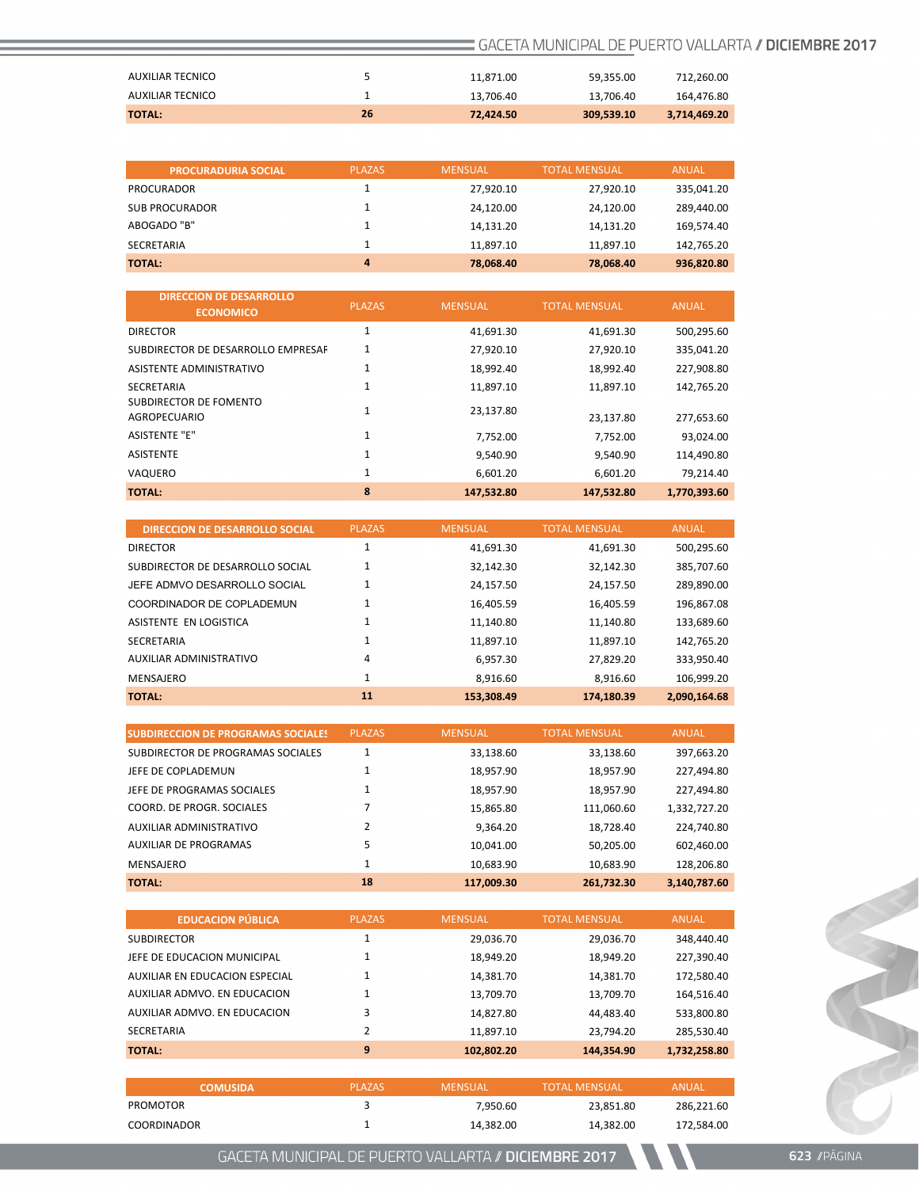| <b>TOTAL:</b>    | 26 | 72.424.50 | 309,539.10 | 3,714,469.20 |
|------------------|----|-----------|------------|--------------|
| AUXILIAR TECNICO |    | 13.706.40 | 13.706.40  | 164.476.80   |
| AUXILIAR TECNICO |    | 11.871.00 | 59.355.00  | 712.260.00   |

| <b>PROCURADURIA SOCIAL</b> | <b>PLAZAS</b>  | <b>MENSUAL</b> | <b>TOTAL MENSUAL</b> | ANUAL      |
|----------------------------|----------------|----------------|----------------------|------------|
| PROCURADOR                 |                | 27.920.10      | 27.920.10            | 335,041.20 |
| <b>SUB PROCURADOR</b>      |                | 24.120.00      | 24.120.00            | 289,440.00 |
| ABOGADO "B"                |                | 14.131.20      | 14.131.20            | 169,574.40 |
| SECRETARIA                 |                | 11.897.10      | 11.897.10            | 142,765.20 |
| <b>TOTAL:</b>              | $\overline{a}$ | 78.068.40      | 78.068.40            | 936,820.80 |

| <b>DIRECCION DE DESARROLLO</b><br><b>ECONOMICO</b> | <b>PLAZAS</b> | <b>MENSUAL</b> | <b>TOTAL MENSUAL</b> | <b>ANUAL</b> |
|----------------------------------------------------|---------------|----------------|----------------------|--------------|
| <b>DIRECTOR</b>                                    | 1             | 41,691.30      | 41,691.30            | 500,295.60   |
| SUBDIRECTOR DE DESARROLLO EMPRESAF                 | 1             | 27,920.10      | 27,920.10            | 335,041.20   |
| ASISTENTE ADMINISTRATIVO                           | 1             | 18,992.40      | 18,992.40            | 227,908.80   |
| <b>SECRETARIA</b>                                  |               | 11,897.10      | 11,897.10            | 142,765.20   |
| SUBDIRECTOR DE FOMENTO<br>AGROPECUARIO             | 1             | 23,137.80      | 23,137.80            | 277,653.60   |
| <b>ASISTENTE "E"</b>                               | 1             | 7,752.00       | 7,752.00             | 93,024.00    |
| <b>ASISTENTE</b>                                   | 1             | 9.540.90       | 9,540.90             | 114,490.80   |
| VAQUERO                                            | $\mathbf{1}$  | 6,601.20       | 6,601.20             | 79,214.40    |
| <b>TOTAL:</b>                                      | 8             | 147,532.80     | 147,532.80           | 1.770.393.60 |

| DIRECCION DE DESARROLLO SOCIAL   | <b>PLAZAS</b> | <b>MENSUAL</b> | <b>TOTAL MENSUAL</b> | <b>ANUAL</b> |
|----------------------------------|---------------|----------------|----------------------|--------------|
| <b>DIRECTOR</b>                  | $\mathbf{1}$  | 41,691.30      | 41,691.30            | 500,295.60   |
| SUBDIRECTOR DE DESARROLLO SOCIAL | 1             | 32.142.30      | 32,142.30            | 385,707.60   |
| JEFE ADMVO DESARROLLO SOCIAL     | 1             | 24,157.50      | 24,157.50            | 289,890.00   |
| COORDINADOR DE COPLADEMUN        | 1             | 16,405.59      | 16,405.59            | 196,867.08   |
| ASISTENTE EN LOGISTICA           | 1             | 11,140.80      | 11,140.80            | 133,689.60   |
| <b>SECRETARIA</b>                | 1             | 11,897.10      | 11.897.10            | 142,765.20   |
| AUXILIAR ADMINISTRATIVO          | 4             | 6.957.30       | 27,829.20            | 333,950.40   |
| <b>MENSAJERO</b>                 | 1             | 8.916.60       | 8,916.60             | 106,999.20   |
| <b>TOTAL:</b>                    | 11            | 153.308.49     | 174.180.39           | 2.090.164.68 |

| <b>SUBDIRECCION DE PROGRAMAS SOCIALES</b> | <b>PLAZAS</b> | <b>MENSUAL</b> | <b>TOTAL MENSUAL</b> | <b>ANUAL</b> |
|-------------------------------------------|---------------|----------------|----------------------|--------------|
| SUBDIRECTOR DE PROGRAMAS SOCIALES         |               | 33,138.60      | 33,138.60            | 397,663.20   |
| JEFE DE COPLADEMUN                        |               | 18,957.90      | 18,957.90            | 227,494.80   |
| JEFE DE PROGRAMAS SOCIALES                |               | 18,957.90      | 18,957.90            | 227,494.80   |
| COORD. DE PROGR. SOCIALES                 |               | 15,865.80      | 111,060.60           | 1,332,727.20 |
| AUXILIAR ADMINISTRATIVO                   | 2             | 9,364.20       | 18,728.40            | 224,740.80   |
| <b>AUXILIAR DE PROGRAMAS</b>              | 5             | 10,041.00      | 50,205.00            | 602,460.00   |
| MENSAJERO                                 |               | 10,683.90      | 10,683.90            | 128,206.80   |
| <b>TOTAL:</b>                             | 18            | 117,009.30     | 261,732.30           | 3.140.787.60 |

| <b>EDUCACION PÚBLICA</b>       | <b>PLAZAS</b> | <b>MENSUAL</b> | <b>TOTAL MENSUAL</b> | <b>ANUAL</b> |
|--------------------------------|---------------|----------------|----------------------|--------------|
| <b>SUBDIRECTOR</b>             |               | 29,036.70      | 29,036.70            | 348,440.40   |
| JEFE DE EDUCACION MUNICIPAL    |               | 18,949.20      | 18,949.20            | 227,390.40   |
| AUXILIAR EN EDUCACION ESPECIAL |               | 14,381.70      | 14,381.70            | 172,580.40   |
| AUXILIAR ADMVO, EN EDUCACION   |               | 13,709.70      | 13,709.70            | 164,516.40   |
| AUXILIAR ADMVO, EN EDUCACION   | 3             | 14,827.80      | 44,483.40            | 533,800.80   |
| SECRETARIA                     |               | 11.897.10      | 23.794.20            | 285,530.40   |
| <b>TOTAL:</b>                  | 9             | 102,802.20     | 144,354.90           | 1,732,258.80 |

| <b>COMUSIDA</b> | <b>PLAZAS</b> | <b>MENSUAL</b> | <b>TOTAL MENSUAL</b> | ANUAL      |
|-----------------|---------------|----------------|----------------------|------------|
| PROMOTOR        |               | 7.950.60       | 23.851.80            | 286.221.60 |
| COORDINADOR     |               | 14.382.00      | 14.382.00            | 172.584.00 |

GACETA MUNICIPAL DE PUERTO VALLARTA // DICIEMBRE 2017

COLLEGE COLLEGE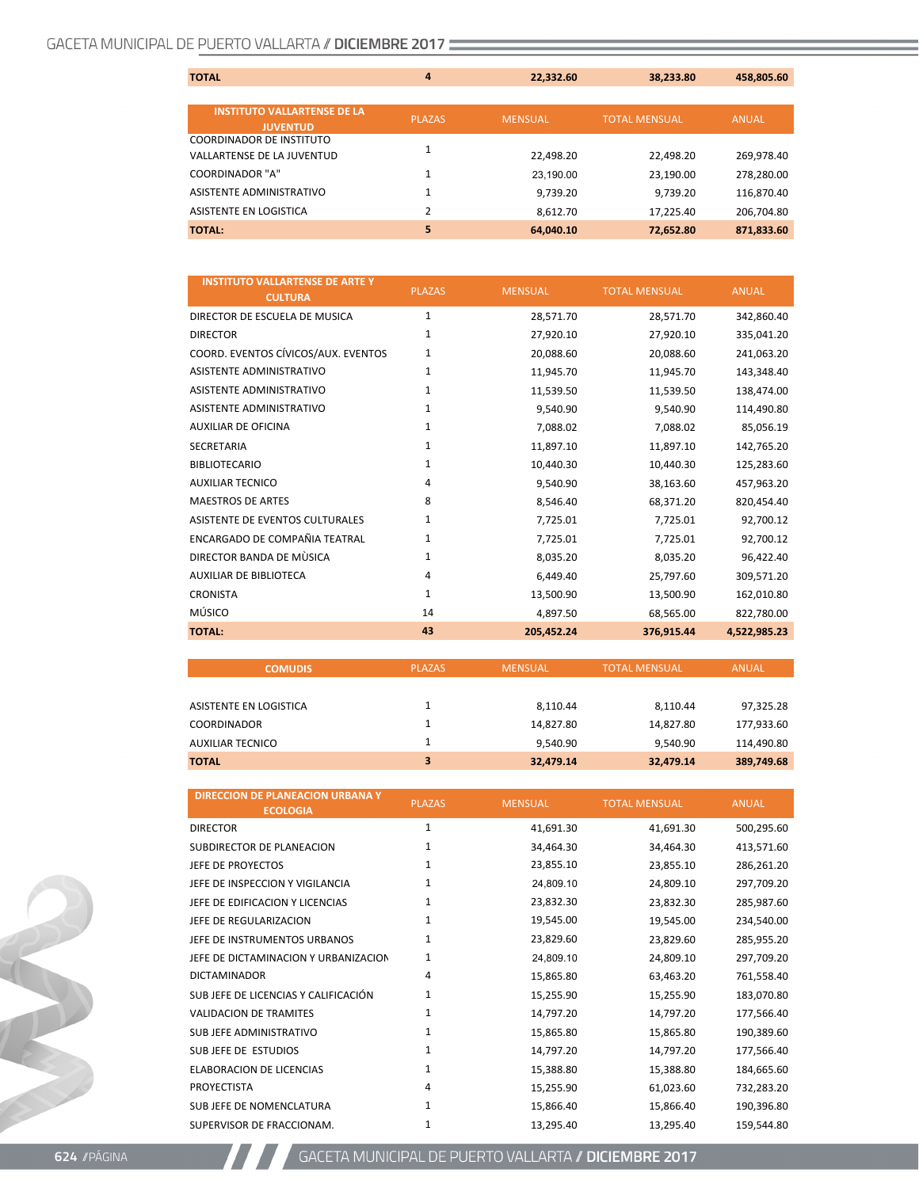| <b>TOTAL</b>                       | 4              | 22,332.60      | 38,233.80            | 458,805.60   |
|------------------------------------|----------------|----------------|----------------------|--------------|
|                                    |                |                |                      |              |
| <b>INSTITUTO VALLARTENSE DE LA</b> | <b>PLAZAS</b>  | <b>MENSUAL</b> | <b>TOTAL MENSUAL</b> | <b>ANUAL</b> |
| <b>JUVENTUD</b>                    |                |                |                      |              |
| <b>COORDINADOR DE INSTITUTO</b>    |                |                |                      |              |
| <b>VALLARTENSE DE LA JUVENTUD</b>  |                | 22,498.20      | 22,498.20            | 269,978.40   |
| <b>COORDINADOR "A"</b>             |                | 23.190.00      | 23,190.00            | 278,280.00   |
| ASISTENTE ADMINISTRATIVO           | 1              | 9.739.20       | 9.739.20             | 116,870.40   |
| ASISTENTE EN LOGISTICA             | $\overline{2}$ | 8,612.70       | 17.225.40            | 206,704.80   |
| <b>TOTAL:</b>                      | 5              | 64,040.10      | 72,652.80            | 871,833.60   |

| <b>INSTITUTO VALLARTENSE DE ARTE Y</b><br><b>CULTURA</b> | <b>PLAZAS</b> | <b>MENSUAL</b> | <b>TOTAL MENSUAL</b> | <b>ANUAL</b> |
|----------------------------------------------------------|---------------|----------------|----------------------|--------------|
| DIRECTOR DE ESCUELA DE MUSICA                            | $\mathbf{1}$  | 28,571.70      | 28,571.70            | 342,860.40   |
| <b>DIRECTOR</b>                                          | $\mathbf{1}$  | 27,920.10      | 27,920.10            | 335,041.20   |
| COORD. EVENTOS CÍVICOS/AUX. EVENTOS                      | 1             | 20,088.60      | 20,088.60            | 241,063.20   |
| <b>ASISTENTE ADMINISTRATIVO</b>                          | $\mathbf{1}$  | 11,945.70      | 11,945.70            | 143,348.40   |
| ASISTENTE ADMINISTRATIVO                                 | $\mathbf{1}$  | 11,539.50      | 11,539.50            | 138,474.00   |
| ASISTENTE ADMINISTRATIVO                                 | 1             | 9,540.90       | 9,540.90             | 114,490.80   |
| <b>AUXILIAR DE OFICINA</b>                               | $\mathbf{1}$  | 7,088.02       | 7,088.02             | 85,056.19    |
| <b>SECRETARIA</b>                                        | $\mathbf{1}$  | 11,897.10      | 11,897.10            | 142,765.20   |
| <b>BIBLIOTECARIO</b>                                     | $\mathbf{1}$  | 10,440.30      | 10,440.30            | 125,283.60   |
| <b>AUXILIAR TECNICO</b>                                  | 4             | 9.540.90       | 38,163.60            | 457,963.20   |
| <b>MAESTROS DE ARTES</b>                                 | 8             | 8,546.40       | 68,371.20            | 820,454.40   |
| ASISTENTE DE EVENTOS CULTURALES                          | $\mathbf{1}$  | 7,725.01       | 7,725.01             | 92,700.12    |
| ENCARGADO DE COMPAÑIA TEATRAL                            | $\mathbf{1}$  | 7,725.01       | 7,725.01             | 92,700.12    |
| DIRECTOR BANDA DE MÙSICA                                 | $\mathbf{1}$  | 8,035.20       | 8,035.20             | 96,422.40    |
| <b>AUXILIAR DE BIBLIOTECA</b>                            | 4             | 6,449.40       | 25,797.60            | 309,571.20   |
| <b>CRONISTA</b>                                          | $\mathbf{1}$  | 13,500.90      | 13,500.90            | 162,010.80   |
| MÚSICO                                                   | 14            | 4,897.50       | 68,565.00            | 822,780.00   |
| <b>TOTAL:</b>                                            | 43            | 205.452.24     | 376,915.44           | 4,522,985.23 |

| <b>COMUDIS</b>         | <b>PLAZAS</b> | <b>MENSUAL</b> | <b>TOTAL MENSUAL</b> | <b>ANUAL</b> |
|------------------------|---------------|----------------|----------------------|--------------|
|                        |               |                |                      |              |
| ASISTENTE EN LOGISTICA |               | 8,110.44       | 8,110.44             | 97,325.28    |
| <b>COORDINADOR</b>     |               | 14,827.80      | 14,827.80            | 177,933.60   |
| AUXILIAR TECNICO       |               | 9.540.90       | 9,540.90             | 114,490.80   |
| <b>TOTAL</b>           | 3             | 32,479.14      | 32,479.14            | 389,749.68   |

| <b>DIRECCION DE PLANEACION URBANA Y</b><br><b>ECOLOGIA</b> | <b>PLAZAS</b> | <b>MENSUAL</b> | <b>TOTAL MENSUAL</b> | <b>ANUAL</b> |
|------------------------------------------------------------|---------------|----------------|----------------------|--------------|
| <b>DIRECTOR</b>                                            | $\mathbf{1}$  | 41,691.30      | 41,691.30            | 500,295.60   |
| SUBDIRECTOR DE PLANEACION                                  | 1             | 34,464.30      | 34,464.30            | 413,571.60   |
| JEFE DE PROYECTOS                                          | $\mathbf{1}$  | 23,855.10      | 23,855.10            | 286,261.20   |
| JEFE DE INSPECCION Y VIGILANCIA                            | $\mathbf{1}$  | 24,809.10      | 24,809.10            | 297,709.20   |
| JEFE DE EDIFICACION Y LICENCIAS                            | $\mathbf{1}$  | 23,832.30      | 23,832.30            | 285,987.60   |
| JEFE DE REGULARIZACION                                     | $\mathbf{1}$  | 19,545.00      | 19,545.00            | 234,540.00   |
| JEFE DE INSTRUMENTOS URBANOS                               | $\mathbf{1}$  | 23,829.60      | 23,829.60            | 285,955.20   |
| JEFE DE DICTAMINACION Y URBANIZACION                       | 1             | 24,809.10      | 24,809.10            | 297,709.20   |
| <b>DICTAMINADOR</b>                                        | 4             | 15,865.80      | 63,463.20            | 761,558.40   |
| SUB JEFE DE LICENCIAS Y CALIFICACIÓN                       | $\mathbf{1}$  | 15,255.90      | 15,255.90            | 183,070.80   |
| <b>VALIDACION DE TRAMITES</b>                              | $\mathbf{1}$  | 14,797.20      | 14,797.20            | 177,566.40   |
| SUB JEFE ADMINISTRATIVO                                    | $\mathbf{1}$  | 15,865.80      | 15,865.80            | 190,389.60   |
| SUBJEFE DE ESTUDIOS                                        | $\mathbf{1}$  | 14,797.20      | 14,797.20            | 177,566.40   |
| <b>ELABORACION DE LICENCIAS</b>                            | $\mathbf{1}$  | 15,388.80      | 15,388.80            | 184,665.60   |
| <b>PROYECTISTA</b>                                         | 4             | 15,255.90      | 61,023.60            | 732,283.20   |
| SUBJEFE DE NOMENCLATURA                                    | $\mathbf{1}$  | 15,866.40      | 15,866.40            | 190,396.80   |
| SUPERVISOR DE FRACCIONAM.                                  | 1             | 13,295.40      | 13,295.40            | 159,544.80   |

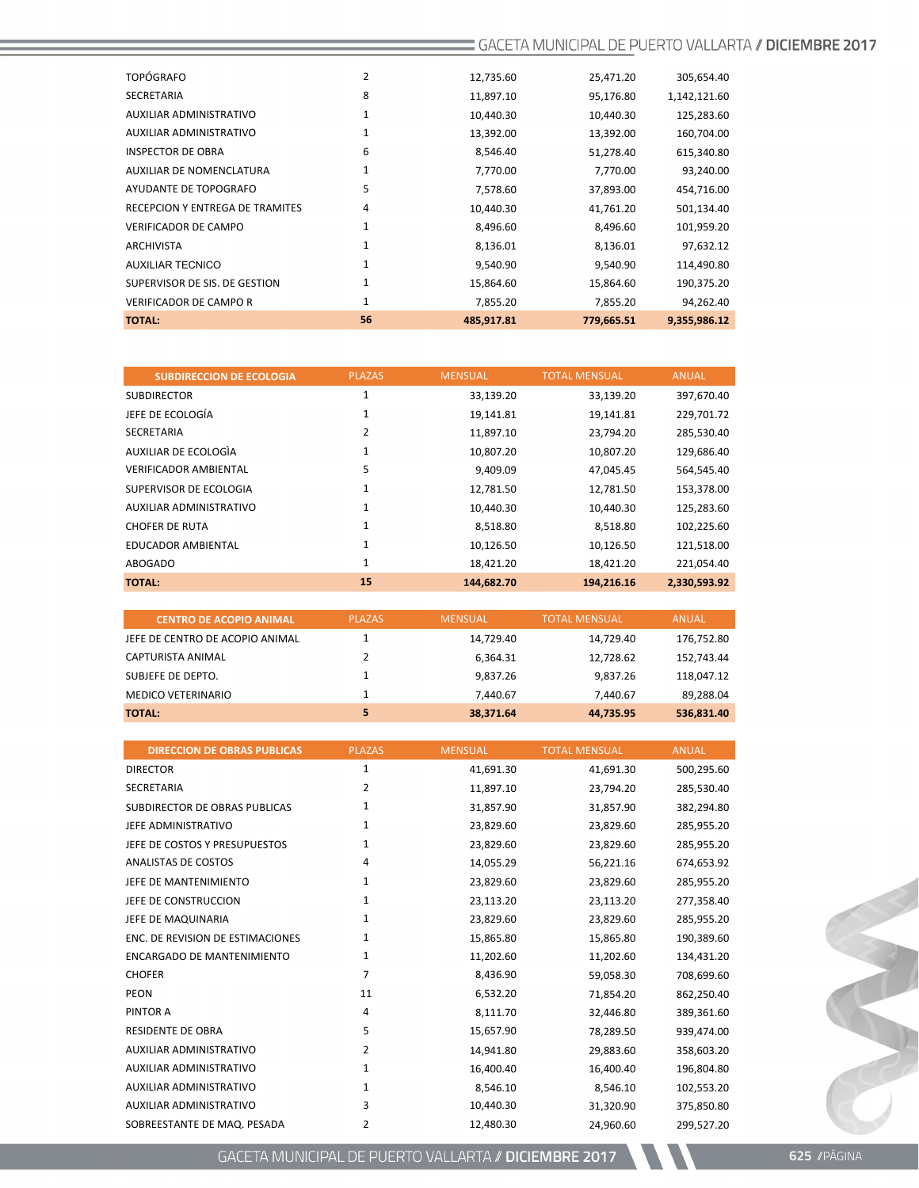| <b>TOTAL:</b>                          | 56 | 485,917.81 | 779,665.51 | 9,355,986.12 |
|----------------------------------------|----|------------|------------|--------------|
| <b>VERIFICADOR DE CAMPO R</b>          | 1  | 7,855.20   | 7,855.20   | 94,262.40    |
| SUPERVISOR DE SIS. DE GESTION          | 1  | 15,864.60  | 15,864.60  | 190,375.20   |
| <b>AUXILIAR TECNICO</b>                | 1  | 9,540.90   | 9,540.90   | 114,490.80   |
| <b>ARCHIVISTA</b>                      | 1  | 8,136.01   | 8,136.01   | 97,632.12    |
| <b>VERIFICADOR DE CAMPO</b>            | 1  | 8,496.60   | 8,496.60   | 101,959.20   |
| <b>RECEPCION Y ENTREGA DE TRAMITES</b> | 4  | 10,440.30  | 41,761.20  | 501,134.40   |
| AYUDANTE DE TOPOGRAFO                  | 5  | 7,578.60   | 37,893.00  | 454,716.00   |
| <b>AUXILIAR DE NOMENCLATURA</b>        | 1  | 7,770.00   | 7,770.00   | 93,240.00    |
| <b>INSPECTOR DE OBRA</b>               | 6  | 8,546.40   | 51,278.40  | 615,340.80   |
| AUXILIAR ADMINISTRATIVO                | 1  | 13,392.00  | 13,392.00  | 160,704.00   |
| AUXILIAR ADMINISTRATIVO                | 1  | 10,440.30  | 10,440.30  | 125,283.60   |
| <b>SECRETARIA</b>                      | 8  | 11,897.10  | 95,176.80  | 1,142,121.60 |
| <b>TOPÓGRAFO</b>                       | 2  | 12,735.60  | 25,471.20  | 305,654.40   |
|                                        |    |            |            |              |

| <b>SUBDIRECCION DE ECOLOGIA</b> | <b>PLAZAS</b> | <b>MENSUAL</b> | <b>TOTAL MENSUAL</b> | <b>ANUAL</b> |
|---------------------------------|---------------|----------------|----------------------|--------------|
| <b>SUBDIRECTOR</b>              | 1             | 33,139.20      | 33,139.20            | 397,670.40   |
| JEFE DE ECOLOGÍA                | 1             | 19,141.81      | 19,141.81            | 229,701.72   |
| <b>SECRETARIA</b>               | 2             | 11,897.10      | 23,794.20            | 285,530.40   |
| AUXILIAR DE ECOLOGIA            | 1             | 10,807.20      | 10,807.20            | 129,686.40   |
| <b>VERIFICADOR AMBIENTAL</b>    | 5             | 9,409.09       | 47,045.45            | 564,545.40   |
| SUPERVISOR DE ECOLOGIA          | 1             | 12,781.50      | 12,781.50            | 153,378.00   |
| AUXILIAR ADMINISTRATIVO         | 1             | 10,440.30      | 10,440.30            | 125,283.60   |
| <b>CHOFER DE RUTA</b>           | 1             | 8,518.80       | 8,518.80             | 102,225.60   |
| <b>EDUCADOR AMBIENTAL</b>       | 1             | 10,126.50      | 10,126.50            | 121,518.00   |
| ABOGADO                         | $\mathbf{1}$  | 18,421.20      | 18,421.20            | 221,054.40   |
| <b>TOTAL:</b>                   | 15            | 144,682.70     | 194,216.16           | 2,330,593.92 |

| <b>CENTRO DE ACOPIO ANIMAL</b>  | <b>PLAZAS</b> | <b>MENSUAL</b> | <b>TOTAL MENSUAL</b> | <b>ANUAL</b> |
|---------------------------------|---------------|----------------|----------------------|--------------|
| JEFE DE CENTRO DE ACOPIO ANIMAL |               | 14.729.40      | 14.729.40            | 176,752.80   |
| CAPTURISTA ANIMAL               |               | 6.364.31       | 12.728.62            | 152.743.44   |
| SUBJEFE DE DEPTO.               |               | 9.837.26       | 9.837.26             | 118,047.12   |
| <b>MEDICO VETERINARIO</b>       |               | 7.440.67       | 7.440.67             | 89,288.04    |
| <b>TOTAL:</b>                   |               | 38,371.64      | 44.735.95            | 536.831.40   |

| <b>DIRECCION DE OBRAS PUBLICAS</b> | <b>PLAZAS</b> | <b>MENSUAL</b> | <b>TOTAL MENSUAL</b> | <b>ANUAL</b> |
|------------------------------------|---------------|----------------|----------------------|--------------|
| <b>DIRECTOR</b>                    | $\mathbf{1}$  | 41,691.30      | 41,691.30            | 500,295.60   |
| <b>SECRETARIA</b>                  | 2             | 11,897.10      | 23,794.20            | 285,530.40   |
| SUBDIRECTOR DE OBRAS PUBLICAS      | 1             | 31,857.90      | 31,857.90            | 382,294.80   |
| JEFE ADMINISTRATIVO                | $\mathbf{1}$  | 23,829.60      | 23,829.60            | 285,955.20   |
| JEFE DE COSTOS Y PRESUPUESTOS      | 1             | 23,829.60      | 23,829.60            | 285,955.20   |
| ANALISTAS DE COSTOS                | 4             | 14,055.29      | 56,221.16            | 674,653.92   |
| JEFE DE MANTENIMIENTO              | $\mathbf{1}$  | 23,829.60      | 23,829.60            | 285,955.20   |
| JEFE DE CONSTRUCCION               | $\mathbf{1}$  | 23,113.20      | 23,113.20            | 277,358.40   |
| JEFE DE MAQUINARIA                 | 1             | 23,829.60      | 23,829.60            | 285,955.20   |
| ENC. DE REVISION DE ESTIMACIONES   | 1             | 15,865.80      | 15,865.80            | 190,389.60   |
| <b>ENCARGADO DE MANTENIMIENTO</b>  | 1             | 11,202.60      | 11,202.60            | 134,431.20   |
| <b>CHOFER</b>                      | 7             | 8,436.90       | 59,058.30            | 708,699.60   |
| <b>PEON</b>                        | 11            | 6,532.20       | 71,854.20            | 862,250.40   |
| PINTOR A                           | 4             | 8,111.70       | 32.446.80            | 389,361.60   |
| <b>RESIDENTE DE OBRA</b>           | 5             | 15,657.90      | 78,289.50            | 939,474.00   |
| <b>AUXILIAR ADMINISTRATIVO</b>     | $\mathcal{P}$ | 14,941.80      | 29,883.60            | 358,603.20   |
| <b>AUXILIAR ADMINISTRATIVO</b>     | $\mathbf{1}$  | 16,400.40      | 16,400.40            | 196,804.80   |
| <b>AUXILIAR ADMINISTRATIVO</b>     | $\mathbf{1}$  | 8,546.10       | 8,546.10             | 102,553.20   |
| <b>AUXILIAR ADMINISTRATIVO</b>     | 3             | 10,440.30      | 31,320.90            | 375,850.80   |
| SOBREESTANTE DE MAQ. PESADA        | 2             | 12,480.30      | 24,960.60            | 299,527.20   |

GACETA MUNICIPAL DE PUERTO VALLARTA // DICIEMBRE 2017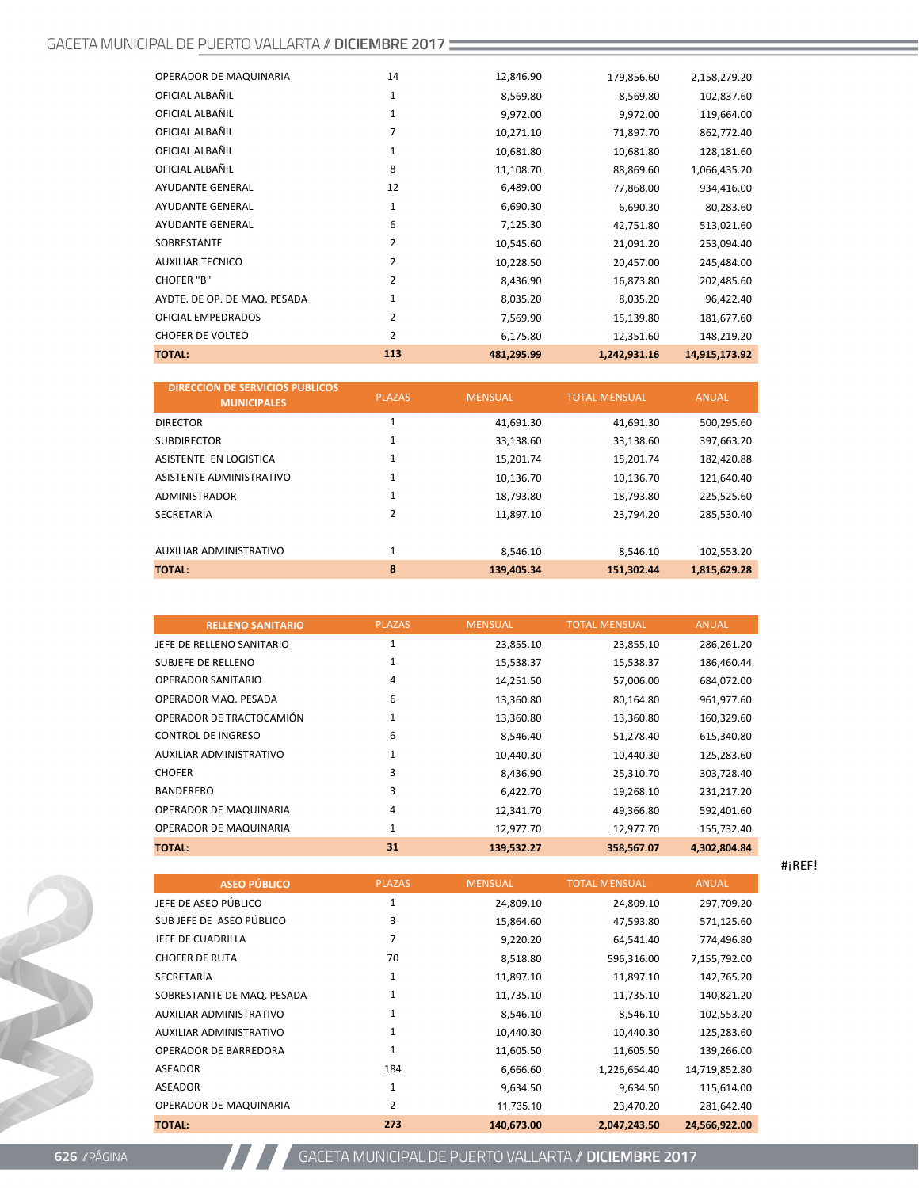| <b>TOTAL:</b>                | 113            | 481,295.99 | 1,242,931.16 | 14,915,173.92 |
|------------------------------|----------------|------------|--------------|---------------|
| <b>CHOFER DE VOLTEO</b>      | 2              | 6,175.80   | 12,351.60    | 148,219.20    |
| OFICIAL EMPEDRADOS           | 2              | 7,569.90   | 15,139.80    | 181,677.60    |
| AYDTE. DE OP. DE MAQ. PESADA | 1              | 8,035.20   | 8,035.20     | 96,422.40     |
| <b>CHOFER "B"</b>            | $\overline{2}$ | 8,436.90   | 16,873.80    | 202,485.60    |
| <b>AUXILIAR TECNICO</b>      | 2              | 10,228.50  | 20,457.00    | 245,484.00    |
| SOBRESTANTE                  | 2              | 10,545.60  | 21,091.20    | 253,094.40    |
| <b>AYUDANTE GENERAL</b>      | 6              | 7,125.30   | 42,751.80    | 513,021.60    |
| <b>AYUDANTE GENERAL</b>      | 1              | 6,690.30   | 6,690.30     | 80,283.60     |
| <b>AYUDANTE GENERAL</b>      | 12             | 6,489.00   | 77,868.00    | 934,416.00    |
| OFICIAL ALBAÑIL              | 8              | 11,108.70  | 88,869.60    | 1,066,435.20  |
| OFICIAL ALBAÑIL              | 1              | 10,681.80  | 10,681.80    | 128,181.60    |
| OFICIAL ALBAÑIL              | 7              | 10,271.10  | 71,897.70    | 862,772.40    |
| OFICIAL ALBAÑIL              | 1              | 9,972.00   | 9,972.00     | 119,664.00    |
| OFICIAL ALBAÑIL              | 1              | 8,569.80   | 8,569.80     | 102,837.60    |
| OPERADOR DE MAQUINARIA       | 14             | 12,846.90  | 179,856.60   | 2,158,279.20  |
|                              |                |            |              |               |

| <b>DIRECCION DE SERVICIOS PUBLICOS</b><br><b>MUNICIPALES</b> | <b>PLAZAS</b>  | <b>MENSUAL</b> | <b>TOTAL MENSUAL</b> | <b>ANUAL</b> |
|--------------------------------------------------------------|----------------|----------------|----------------------|--------------|
| <b>DIRECTOR</b>                                              | $\mathbf{1}$   | 41,691.30      | 41,691.30            | 500,295.60   |
| <b>SUBDIRECTOR</b>                                           | 1              | 33,138.60      | 33,138.60            | 397,663.20   |
| ASISTENTE EN LOGISTICA                                       | $\mathbf{1}$   | 15.201.74      | 15,201.74            | 182,420.88   |
| ASISTENTE ADMINISTRATIVO                                     | 1              | 10.136.70      | 10,136.70            | 121.640.40   |
| <b>ADMINISTRADOR</b>                                         | $\mathbf{1}$   | 18,793.80      | 18,793.80            | 225,525.60   |
| <b>SECRETARIA</b>                                            | $\overline{2}$ | 11,897.10      | 23,794.20            | 285,530.40   |
| AUXILIAR ADMINISTRATIVO                                      | $\mathbf{1}$   | 8.546.10       | 8.546.10             | 102,553.20   |
| <b>TOTAL:</b>                                                | 8              | 139,405.34     | 151,302.44           | 1,815,629.28 |

| <b>RELLENO SANITARIO</b>  | <b>PLAZAS</b> | <b>MENSUAL</b> | <b>TOTAL MENSUAL</b> | <b>ANUAL</b> |
|---------------------------|---------------|----------------|----------------------|--------------|
| JEFE DE RELLENO SANITARIO | 1             | 23,855.10      | 23,855.10            | 286,261.20   |
| SUBJEFE DE RELLENO        | 1             | 15,538.37      | 15,538.37            | 186,460.44   |
| OPERADOR SANITARIO        | 4             | 14,251.50      | 57,006.00            | 684,072.00   |
| OPERADOR MAQ. PESADA      | 6             | 13,360.80      | 80,164.80            | 961,977.60   |
| OPERADOR DE TRACTOCAMIÓN  | 1             | 13,360.80      | 13,360.80            | 160,329.60   |
| CONTROL DE INGRESO        | 6             | 8,546.40       | 51,278.40            | 615,340.80   |
| AUXILIAR ADMINISTRATIVO   | 1             | 10,440.30      | 10,440.30            | 125,283.60   |
| <b>CHOFER</b>             | 3             | 8,436.90       | 25,310.70            | 303,728.40   |
| <b>BANDERERO</b>          | 3             | 6,422.70       | 19,268.10            | 231,217.20   |
| OPERADOR DE MAQUINARIA    | 4             | 12,341.70      | 49,366.80            | 592,401.60   |
| OPERADOR DE MAQUINARIA    | 1             | 12,977.70      | 12,977.70            | 155,732.40   |
| <b>TOTAL:</b>             | 31            | 139,532.27     | 358,567.07           | 4,302,804.84 |

| <b>ASEO PÚBLICO</b>          | <b>PLAZAS</b> | <b>MENSUAL</b> | <b>TOTAL MENSUAL</b> | <b>ANUAL</b>  |
|------------------------------|---------------|----------------|----------------------|---------------|
| JEFE DE ASEO PÚBLICO         | 1             | 24,809.10      | 24,809.10            | 297,709.20    |
| SUBJEFE DE ASEO PÚBLICO      | 3             | 15,864.60      | 47,593.80            | 571,125.60    |
| JEFE DE CUADRILLA            | 7             | 9,220.20       | 64,541.40            | 774,496.80    |
| <b>CHOFER DE RUTA</b>        | 70            | 8,518.80       | 596,316.00           | 7,155,792.00  |
| SECRETARIA                   | 1             | 11,897.10      | 11,897.10            | 142,765.20    |
| SOBRESTANTE DE MAQ. PESADA   | 1             | 11,735.10      | 11,735.10            | 140,821.20    |
| AUXILIAR ADMINISTRATIVO      | 1             | 8,546.10       | 8,546.10             | 102,553.20    |
| AUXILIAR ADMINISTRATIVO      | 1             | 10,440.30      | 10,440.30            | 125,283.60    |
| <b>OPERADOR DE BARREDORA</b> | $\mathbf{1}$  | 11,605.50      | 11,605.50            | 139,266.00    |
| ASEADOR                      | 184           | 6,666.60       | 1,226,654.40         | 14,719,852.80 |
| <b>ASEADOR</b>               | 1             | 9,634.50       | 9,634.50             | 115,614.00    |
| OPERADOR DE MAQUINARIA       | 2             | 11,735.10      | 23,470.20            | 281,642.40    |
| <b>TOTAL:</b>                | 273           | 140,673.00     | 2,047,243.50         | 24,566,922.00 |

#¡REF!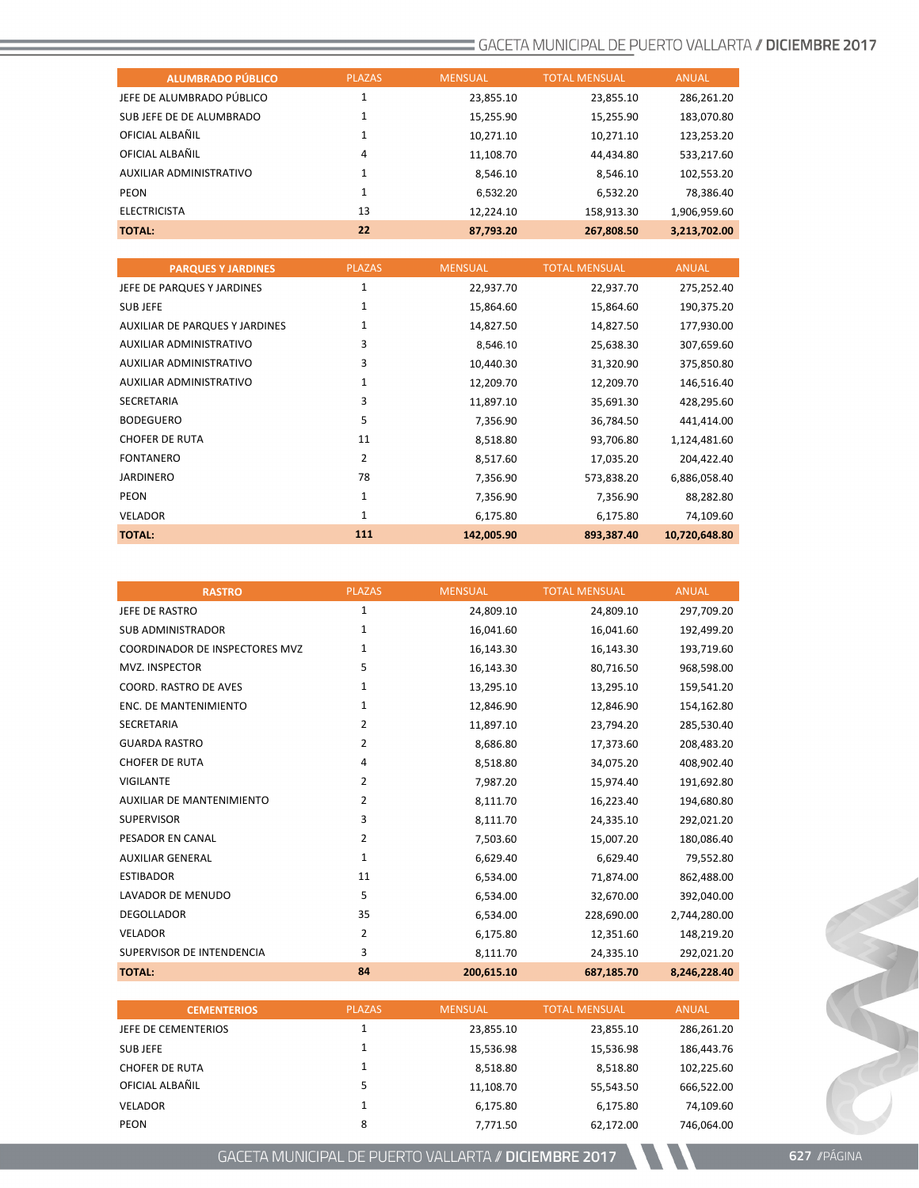| <b>ALUMBRADO PÚBLICO</b>  | <b>PLAZAS</b> | <b>MENSUAL</b> | <b>TOTAL MENSUAL</b> | <b>ANUAL</b> |
|---------------------------|---------------|----------------|----------------------|--------------|
| JEFE DE ALUMBRADO PÚBLICO | ◢             | 23,855.10      | 23,855.10            | 286,261.20   |
| SUB JEFE DE DE ALUMBRADO  | 1             | 15,255.90      | 15,255.90            | 183,070.80   |
| OFICIAL ALBAÑIL           | 1             | 10,271.10      | 10,271.10            | 123,253.20   |
| OFICIAL ALBAÑIL           | 4             | 11,108.70      | 44,434.80            | 533,217.60   |
| AUXILIAR ADMINISTRATIVO   | 1             | 8.546.10       | 8,546.10             | 102,553.20   |
| PEON                      | 1             | 6.532.20       | 6,532.20             | 78,386.40    |
| <b>ELECTRICISTA</b>       | 13            | 12,224.10      | 158,913.30           | 1,906,959.60 |
| <b>TOTAL:</b>             | 22            | 87,793.20      | 267,808.50           | 3,213,702.00 |

| <b>PARQUES Y JARDINES</b>      | <b>PLAZAS</b> | <b>MENSUAL</b> | <b>TOTAL MENSUAL</b> | <b>ANUAL</b>  |
|--------------------------------|---------------|----------------|----------------------|---------------|
| JEFE DE PARQUES Y JARDINES     | 1             | 22,937.70      | 22,937.70            | 275,252.40    |
| SUB JEFE                       | 1             | 15,864.60      | 15,864.60            | 190,375.20    |
| AUXILIAR DE PARQUES Y JARDINES | 1             | 14,827.50      | 14,827.50            | 177,930.00    |
| AUXILIAR ADMINISTRATIVO        | 3             | 8,546.10       | 25,638.30            | 307,659.60    |
| AUXILIAR ADMINISTRATIVO        | 3             | 10,440.30      | 31,320.90            | 375,850.80    |
| AUXILIAR ADMINISTRATIVO        | 1             | 12,209.70      | 12,209.70            | 146,516.40    |
| <b>SECRETARIA</b>              | 3             | 11,897.10      | 35,691.30            | 428,295.60    |
| <b>BODEGUERO</b>               | 5             | 7,356.90       | 36,784.50            | 441,414.00    |
| <b>CHOFER DE RUTA</b>          | 11            | 8,518.80       | 93,706.80            | 1,124,481.60  |
| <b>FONTANERO</b>               | 2             | 8,517.60       | 17,035.20            | 204,422.40    |
| <b>JARDINERO</b>               | 78            | 7,356.90       | 573,838.20           | 6,886,058.40  |
| <b>PEON</b>                    | 1             | 7,356.90       | 7,356.90             | 88,282.80     |
| <b>VELADOR</b>                 | 1             | 6,175.80       | 6,175.80             | 74,109.60     |
| <b>TOTAL:</b>                  | 111           | 142,005.90     | 893,387.40           | 10,720,648.80 |

| <b>RASTRO</b>                    | <b>PLAZAS</b>  | <b>MENSUAL</b> | <b>TOTAL MENSUAL</b> | <b>ANUAL</b> |
|----------------------------------|----------------|----------------|----------------------|--------------|
| JEFE DE RASTRO                   | 1              | 24,809.10      | 24,809.10            | 297,709.20   |
| <b>SUB ADMINISTRADOR</b>         | $\mathbf{1}$   | 16,041.60      | 16,041.60            | 192,499.20   |
| COORDINADOR DE INSPECTORES MVZ   | 1              | 16,143.30      | 16,143.30            | 193,719.60   |
| MVZ. INSPECTOR                   | 5              | 16,143.30      | 80,716.50            | 968,598.00   |
| <b>COORD. RASTRO DE AVES</b>     | 1              | 13,295.10      | 13,295.10            | 159,541.20   |
| <b>ENC. DE MANTENIMIENTO</b>     | 1              | 12,846.90      | 12,846.90            | 154,162.80   |
| <b>SECRETARIA</b>                | 2              | 11,897.10      | 23,794.20            | 285,530.40   |
| <b>GUARDA RASTRO</b>             | 2              | 8,686.80       | 17,373.60            | 208,483.20   |
| <b>CHOFER DE RUTA</b>            | 4              | 8,518.80       | 34,075.20            | 408,902.40   |
| <b>VIGILANTE</b>                 | 2              | 7,987.20       | 15,974.40            | 191,692.80   |
| <b>AUXILIAR DE MANTENIMIENTO</b> | $\overline{2}$ | 8,111.70       | 16,223.40            | 194,680.80   |
| <b>SUPERVISOR</b>                | 3              | 8,111.70       | 24,335.10            | 292,021.20   |
| PESADOR EN CANAL                 | 2              | 7,503.60       | 15,007.20            | 180,086.40   |
| <b>AUXILIAR GENERAL</b>          | $\mathbf{1}$   | 6,629.40       | 6,629.40             | 79,552.80    |
| <b>ESTIBADOR</b>                 | 11             | 6,534.00       | 71,874.00            | 862,488.00   |
| LAVADOR DE MENUDO                | 5              | 6,534.00       | 32,670.00            | 392,040.00   |
| <b>DEGOLLADOR</b>                | 35             | 6,534.00       | 228,690.00           | 2,744,280.00 |
| <b>VELADOR</b>                   | 2              | 6,175.80       | 12,351.60            | 148,219.20   |
| SUPERVISOR DE INTENDENCIA        | 3              | 8,111.70       | 24,335.10            | 292,021.20   |
| <b>TOTAL:</b>                    | 84             | 200,615.10     | 687,185.70           | 8,246,228.40 |

| <b>CEMENTERIOS</b>    | <b>PLAZAS</b> | <b>MENSUAL</b> | <b>TOTAL MENSUAL</b> | <b>ANUAL</b> |
|-----------------------|---------------|----------------|----------------------|--------------|
| JEFE DE CEMENTERIOS   |               | 23,855.10      | 23,855.10            | 286,261.20   |
| <b>SUBJEFE</b>        |               | 15,536.98      | 15.536.98            | 186,443.76   |
| <b>CHOFER DE RUTA</b> |               | 8,518.80       | 8,518.80             | 102,225.60   |
| OFICIAL ALBAÑIL       | 5             | 11,108.70      | 55,543.50            | 666,522.00   |
| <b>VELADOR</b>        |               | 6.175.80       | 6.175.80             | 74,109.60    |
| <b>PEON</b>           | 8             | 7.771.50       | 62.172.00            | 746.064.00   |

GACETA MUNICIPAL DE PUERTO VALLARTA // DICIEMBRE 2017

Cart Com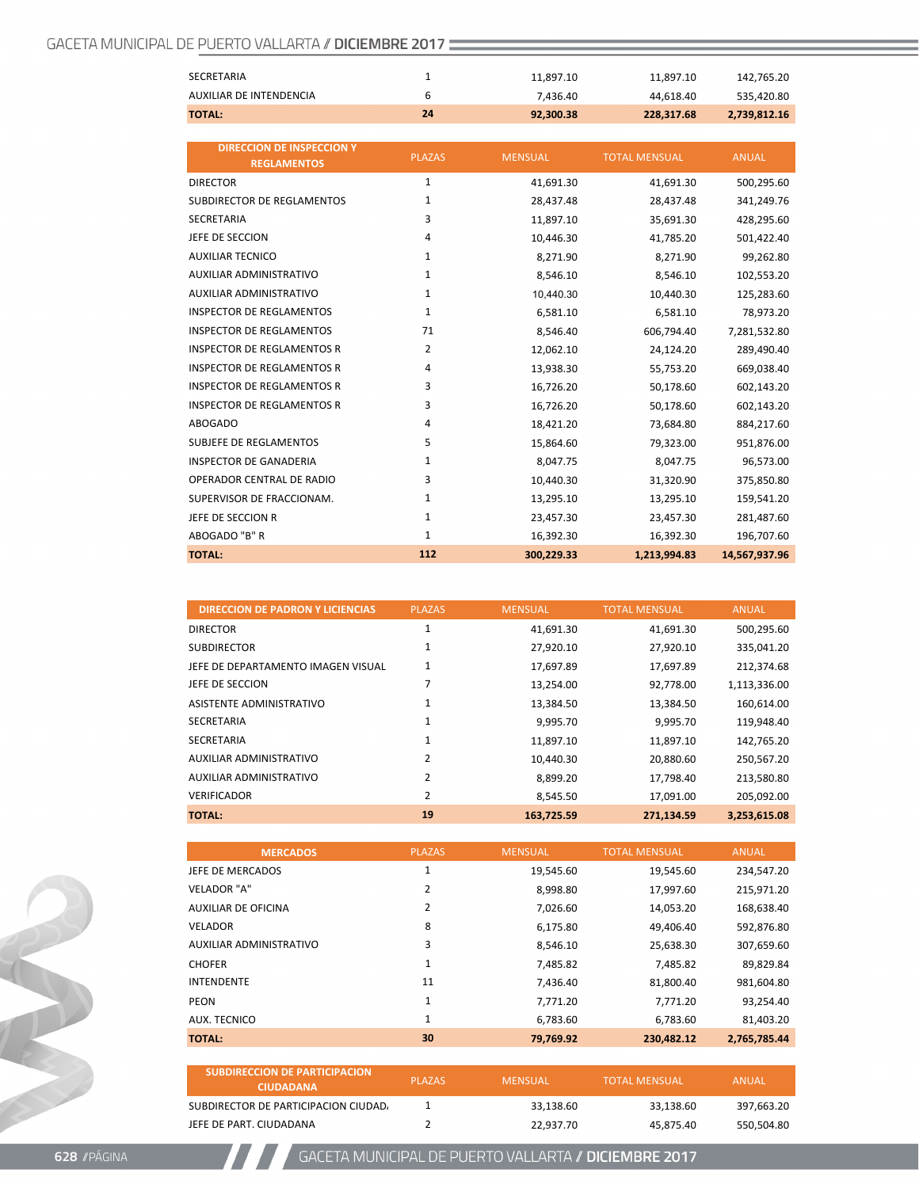| <b>TOTAL:</b>           | 24 | 92.300.38 | 228,317.68 | 2,739,812.16 |
|-------------------------|----|-----------|------------|--------------|
| AUXILIAR DE INTENDENCIA | b  | 7.436.40  | 44.618.40  | 535,420.80   |
| SECRETARIA              |    | 11.897.10 | 11.897.10  | 142,765.20   |
|                         |    |           |            |              |

| <b>DIRECCION DE INSPECCION Y</b><br><b>REGLAMENTOS</b> | <b>PLAZAS</b> | <b>MENSUAL</b> | <b>TOTAL MENSUAL</b> | <b>ANUAL</b>  |
|--------------------------------------------------------|---------------|----------------|----------------------|---------------|
| <b>DIRECTOR</b>                                        | $\mathbf{1}$  | 41,691.30      | 41,691.30            | 500,295.60    |
| <b>SUBDIRECTOR DE REGLAMENTOS</b>                      | $\mathbf{1}$  | 28,437.48      | 28,437.48            | 341,249.76    |
| <b>SECRETARIA</b>                                      | 3             | 11,897.10      | 35,691.30            | 428,295.60    |
| JEFE DE SECCION                                        | 4             | 10,446.30      | 41,785.20            | 501,422.40    |
| <b>AUXILIAR TECNICO</b>                                | $\mathbf{1}$  | 8,271.90       | 8,271.90             | 99,262.80     |
| <b>AUXILIAR ADMINISTRATIVO</b>                         | $\mathbf{1}$  | 8,546.10       | 8,546.10             | 102,553.20    |
| <b>AUXILIAR ADMINISTRATIVO</b>                         | $\mathbf{1}$  | 10,440.30      | 10,440.30            | 125,283.60    |
| <b>INSPECTOR DE REGLAMENTOS</b>                        | $\mathbf{1}$  | 6,581.10       | 6,581.10             | 78,973.20     |
| <b>INSPECTOR DE REGLAMENTOS</b>                        | 71            | 8,546.40       | 606,794.40           | 7,281,532.80  |
| <b>INSPECTOR DE REGLAMENTOS R</b>                      | 2             | 12,062.10      | 24,124.20            | 289,490.40    |
| <b>INSPECTOR DE REGLAMENTOS R</b>                      | 4             | 13,938.30      | 55,753.20            | 669,038.40    |
| <b>INSPECTOR DE REGLAMENTOS R</b>                      | 3             | 16,726.20      | 50,178.60            | 602,143.20    |
| <b>INSPECTOR DE REGLAMENTOS R</b>                      | 3             | 16,726.20      | 50,178.60            | 602,143.20    |
| <b>ABOGADO</b>                                         | 4             | 18,421.20      | 73,684.80            | 884,217.60    |
| <b>SUBJEFE DE REGLAMENTOS</b>                          | 5             | 15,864.60      | 79,323.00            | 951,876.00    |
| <b>INSPECTOR DE GANADERIA</b>                          | 1             | 8,047.75       | 8,047.75             | 96,573.00     |
| OPERADOR CENTRAL DE RADIO                              | 3             | 10.440.30      | 31,320.90            | 375,850.80    |
| SUPERVISOR DE FRACCIONAM.                              | 1             | 13,295.10      | 13,295.10            | 159,541.20    |
| JEFE DE SECCION R                                      | $\mathbf{1}$  | 23,457.30      | 23,457.30            | 281,487.60    |
| ABOGADO "B" R                                          | $\mathbf{1}$  | 16,392.30      | 16,392.30            | 196,707.60    |
| <b>TOTAL:</b>                                          | 112           | 300,229.33     | 1,213,994.83         | 14,567,937.96 |

| <b>DIRECCION DE PADRON Y LICIENCIAS</b> | <b>PLAZAS</b> | <b>MENSUAL</b> | <b>TOTAL MENSUAL</b> | <b>ANUAL</b> |
|-----------------------------------------|---------------|----------------|----------------------|--------------|
| <b>DIRECTOR</b>                         | 1             | 41,691.30      | 41,691.30            | 500,295.60   |
| <b>SUBDIRECTOR</b>                      | 1             | 27,920.10      | 27,920.10            | 335,041.20   |
| JEFE DE DEPARTAMENTO IMAGEN VISUAL      | 1             | 17,697.89      | 17,697.89            | 212,374.68   |
| JEFE DE SECCION                         |               | 13,254.00      | 92,778.00            | 1,113,336.00 |
| ASISTENTE ADMINISTRATIVO                |               | 13,384.50      | 13,384.50            | 160,614.00   |
| <b>SECRETARIA</b>                       | 1             | 9.995.70       | 9,995.70             | 119,948.40   |
| <b>SECRETARIA</b>                       | 1             | 11,897.10      | 11,897.10            | 142,765.20   |
| <b>AUXILIAR ADMINISTRATIVO</b>          | 2             | 10,440.30      | 20,880.60            | 250,567.20   |
| <b>AUXILIAR ADMINISTRATIVO</b>          | 2             | 8,899.20       | 17,798.40            | 213,580.80   |
| <b>VERIFICADOR</b>                      | 2             | 8.545.50       | 17,091.00            | 205,092.00   |
| <b>TOTAL:</b>                           | 19            | 163,725.59     | 271,134.59           | 3,253,615.08 |

| <b>MERCADOS</b>                | <b>PLAZAS</b> | <b>MENSUAL</b> | <b>TOTAL MENSUAL</b> | <b>ANUAL</b> |
|--------------------------------|---------------|----------------|----------------------|--------------|
| JEFE DE MERCADOS               | 1             | 19,545.60      | 19,545.60            | 234,547.20   |
| <b>VELADOR "A"</b>             | 2             | 8,998.80       | 17,997.60            | 215,971.20   |
| <b>AUXILIAR DE OFICINA</b>     | 2             | 7.026.60       | 14,053.20            | 168,638.40   |
| <b>VELADOR</b>                 | 8             | 6,175.80       | 49.406.40            | 592,876.80   |
| <b>AUXILIAR ADMINISTRATIVO</b> | 3             | 8,546.10       | 25,638.30            | 307,659.60   |
| <b>CHOFER</b>                  | 1             | 7.485.82       | 7,485.82             | 89,829.84    |
| <b>INTENDENTE</b>              | 11            | 7.436.40       | 81,800.40            | 981,604.80   |
| PEON                           | 1             | 7,771.20       | 7,771.20             | 93,254.40    |
| AUX. TECNICO                   | 1             | 6.783.60       | 6,783.60             | 81.403.20    |
| <b>TOTAL:</b>                  | 30            | 79.769.92      | 230.482.12           | 2.765.785.44 |

| SUBDIRECCION DE PARTICIPACION<br><b>CIUDADANA</b> | <b>PLAZAS</b> | MENSUAL   | <b>TOTAL MENSUAL</b> | ANUAL      |
|---------------------------------------------------|---------------|-----------|----------------------|------------|
| SUBDIRECTOR DE PARTICIPACION CIUDAD.              |               | 33.138.60 | 33.138.60            | 397.663.20 |
| JEFE DE PART. CIUDADANA                           |               | 22.937.70 | 45.875.40            | 550.504.80 |

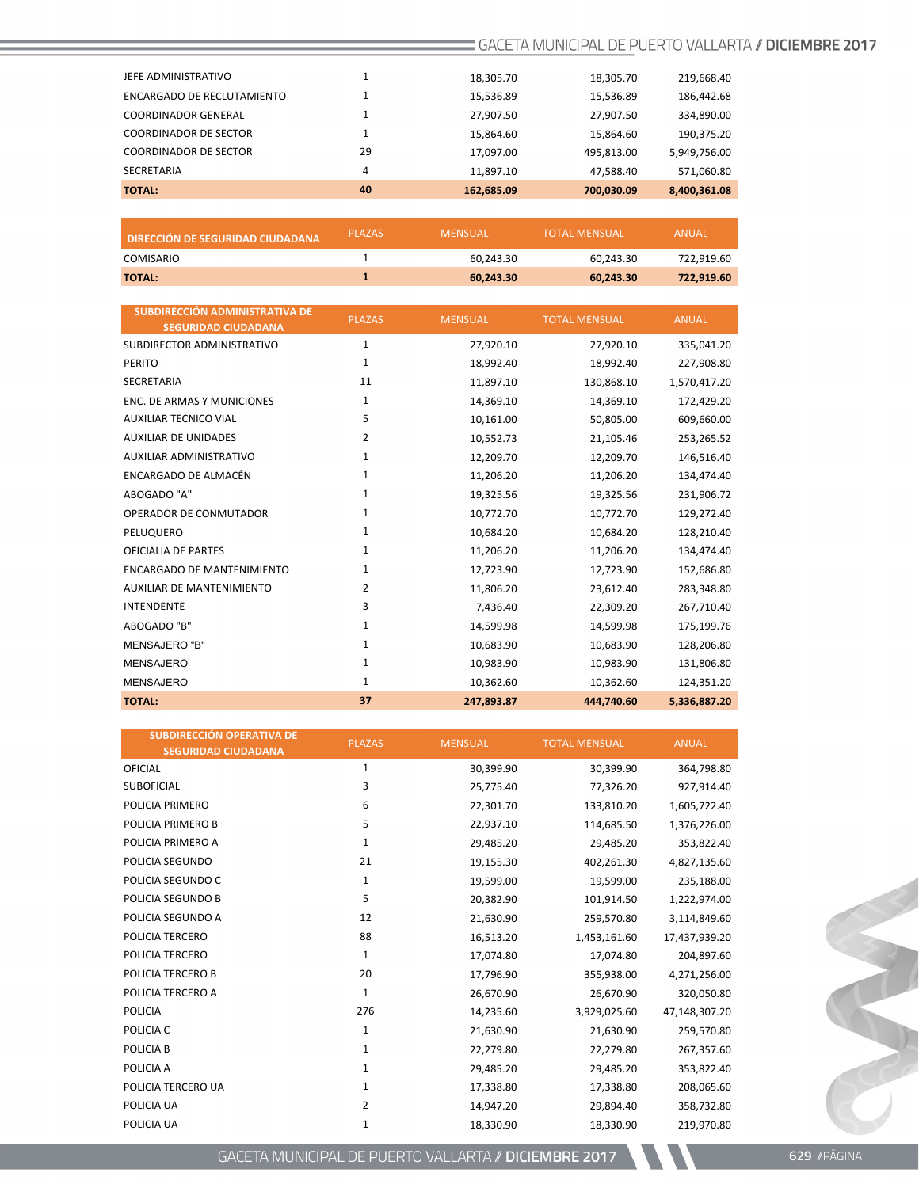| <b>TOTAL:</b>                | 40 | 162,685.09 | 700,030.09 | 8,400,361.08 |
|------------------------------|----|------------|------------|--------------|
| SECRETARIA                   | 4  | 11,897.10  | 47,588.40  | 571,060.80   |
| <b>COORDINADOR DE SECTOR</b> | 29 | 17,097.00  | 495,813.00 | 5,949,756.00 |
| <b>COORDINADOR DE SECTOR</b> |    | 15,864.60  | 15,864.60  | 190,375.20   |
| <b>COORDINADOR GENERAL</b>   |    | 27,907.50  | 27,907.50  | 334,890.00   |
| ENCARGADO DE RECLUTAMIENTO   |    | 15,536.89  | 15,536.89  | 186,442.68   |
| JEFE ADMINISTRATIVO          |    | 18,305.70  | 18,305.70  | 219,668.40   |
|                              |    |            |            |              |

| <b>DIRECCIÓN DE SEGURIDAD CIUDADANA</b> | <b>PLAZAS</b> | MENSUAL   | <b>TOTAL MENSUAL</b> | <b>ANUAL</b> |
|-----------------------------------------|---------------|-----------|----------------------|--------------|
| COMISARIO                               |               | 60.243.30 | 60.243.30            | 722.919.60   |
| <b>TOTAL:</b>                           |               | 60.243.30 | 60.243.30            | 722.919.60   |

| SUBDIRECCIÓN ADMINISTRATIVA DE<br><b>SEGURIDAD CIUDADANA</b> | <b>PLAZAS</b> | <b>MENSUAL</b> | <b>TOTAL MENSUAL</b> | <b>ANUAL</b> |
|--------------------------------------------------------------|---------------|----------------|----------------------|--------------|
| SUBDIRECTOR ADMINISTRATIVO                                   | $\mathbf{1}$  | 27,920.10      | 27,920.10            | 335,041.20   |
| <b>PERITO</b>                                                | $\mathbf{1}$  | 18,992.40      | 18,992.40            | 227,908.80   |
| <b>SECRETARIA</b>                                            | 11            | 11,897.10      | 130,868.10           | 1,570,417.20 |
| ENC. DE ARMAS Y MUNICIONES                                   | 1             | 14,369.10      | 14,369.10            | 172,429.20   |
| <b>AUXILIAR TECNICO VIAL</b>                                 | 5             | 10,161.00      | 50,805.00            | 609,660.00   |
| <b>AUXILIAR DE UNIDADES</b>                                  | 2             | 10,552.73      | 21,105.46            | 253,265.52   |
| AUXILIAR ADMINISTRATIVO                                      | $\mathbf{1}$  | 12,209.70      | 12,209.70            | 146,516.40   |
| ENCARGADO DE ALMACÉN                                         | $\mathbf{1}$  | 11,206.20      | 11,206.20            | 134,474.40   |
| ABOGADO "A"                                                  | 1             | 19,325.56      | 19,325.56            | 231,906.72   |
| OPERADOR DE CONMUTADOR                                       | 1             | 10,772.70      | 10,772.70            | 129,272.40   |
| PELUQUERO                                                    | 1             | 10,684.20      | 10,684.20            | 128,210.40   |
| <b>OFICIALIA DE PARTES</b>                                   | 1             | 11,206.20      | 11,206.20            | 134,474.40   |
| <b>ENCARGADO DE MANTENIMIENTO</b>                            | $\mathbf{1}$  | 12,723.90      | 12,723.90            | 152,686.80   |
| <b>AUXILIAR DE MANTENIMIENTO</b>                             | 2             | 11,806.20      | 23,612.40            | 283,348.80   |
| INTENDENTE                                                   | 3             | 7,436.40       | 22,309.20            | 267,710.40   |
| ABOGADO "B"                                                  | 1             | 14,599.98      | 14,599.98            | 175,199.76   |
| <b>MENSAJERO "B"</b>                                         | $\mathbf{1}$  | 10,683.90      | 10,683.90            | 128,206.80   |
| <b>MENSAJERO</b>                                             | 1             | 10,983.90      | 10,983.90            | 131,806.80   |
| <b>MENSAJERO</b>                                             | $\mathbf{1}$  | 10,362.60      | 10,362.60            | 124,351.20   |
| <b>TOTAL:</b>                                                | 37            | 247,893.87     | 444,740.60           | 5,336,887.20 |

| <b>SUBDIRECCIÓN OPERATIVA DE</b><br><b>SEGURIDAD CIUDADANA</b> | <b>PLAZAS</b> | <b>MENSUAL</b> | <b>TOTAL MENSUAL</b> | <b>ANUAL</b>  |
|----------------------------------------------------------------|---------------|----------------|----------------------|---------------|
| <b>OFICIAL</b>                                                 | 1             | 30,399.90      | 30,399.90            | 364,798.80    |
| <b>SUBOFICIAL</b>                                              | 3             | 25,775.40      | 77,326.20            | 927,914.40    |
| POLICIA PRIMERO                                                | 6             | 22,301.70      | 133,810.20           | 1,605,722.40  |
| POLICIA PRIMERO B                                              | 5             | 22,937.10      | 114,685.50           | 1,376,226.00  |
| POLICIA PRIMERO A                                              | 1             | 29,485.20      | 29,485.20            | 353,822.40    |
| POLICIA SEGUNDO                                                | 21            | 19,155.30      | 402,261.30           | 4,827,135.60  |
| POLICIA SEGUNDO C                                              | 1             | 19,599.00      | 19,599.00            | 235,188.00    |
| POLICIA SEGUNDO B                                              | 5             | 20,382.90      | 101,914.50           | 1,222,974.00  |
| POLICIA SEGUNDO A                                              | 12            | 21,630.90      | 259,570.80           | 3,114,849.60  |
| POLICIA TERCERO                                                | 88            | 16,513.20      | 1,453,161.60         | 17,437,939.20 |
| POLICIA TERCERO                                                | $\mathbf{1}$  | 17,074.80      | 17,074.80            | 204,897.60    |
| POLICIA TERCERO B                                              | 20            | 17,796.90      | 355,938.00           | 4,271,256.00  |
| POLICIA TERCERO A                                              | $\mathbf{1}$  | 26,670.90      | 26,670.90            | 320,050.80    |
| <b>POLICIA</b>                                                 | 276           | 14,235.60      | 3,929,025.60         | 47,148,307.20 |
| POLICIA C                                                      | $\mathbf{1}$  | 21,630.90      | 21,630.90            | 259,570.80    |
| POLICIA B                                                      | $\mathbf{1}$  | 22,279.80      | 22,279.80            | 267,357.60    |
| POLICIA A                                                      | $\mathbf{1}$  | 29,485.20      | 29,485.20            | 353,822.40    |
| POLICIA TERCERO UA                                             | $\mathbf{1}$  | 17,338.80      | 17,338.80            | 208,065.60    |
| POLICIA UA                                                     | 2             | 14,947.20      | 29,894.40            | 358,732.80    |
| POLICIA UA                                                     | 1             | 18,330.90      | 18,330.90            | 219,970.80    |

GACETA MUNICIPAL DE PUERTO VALLARTA // DICIEMBRE 2017

RECORDS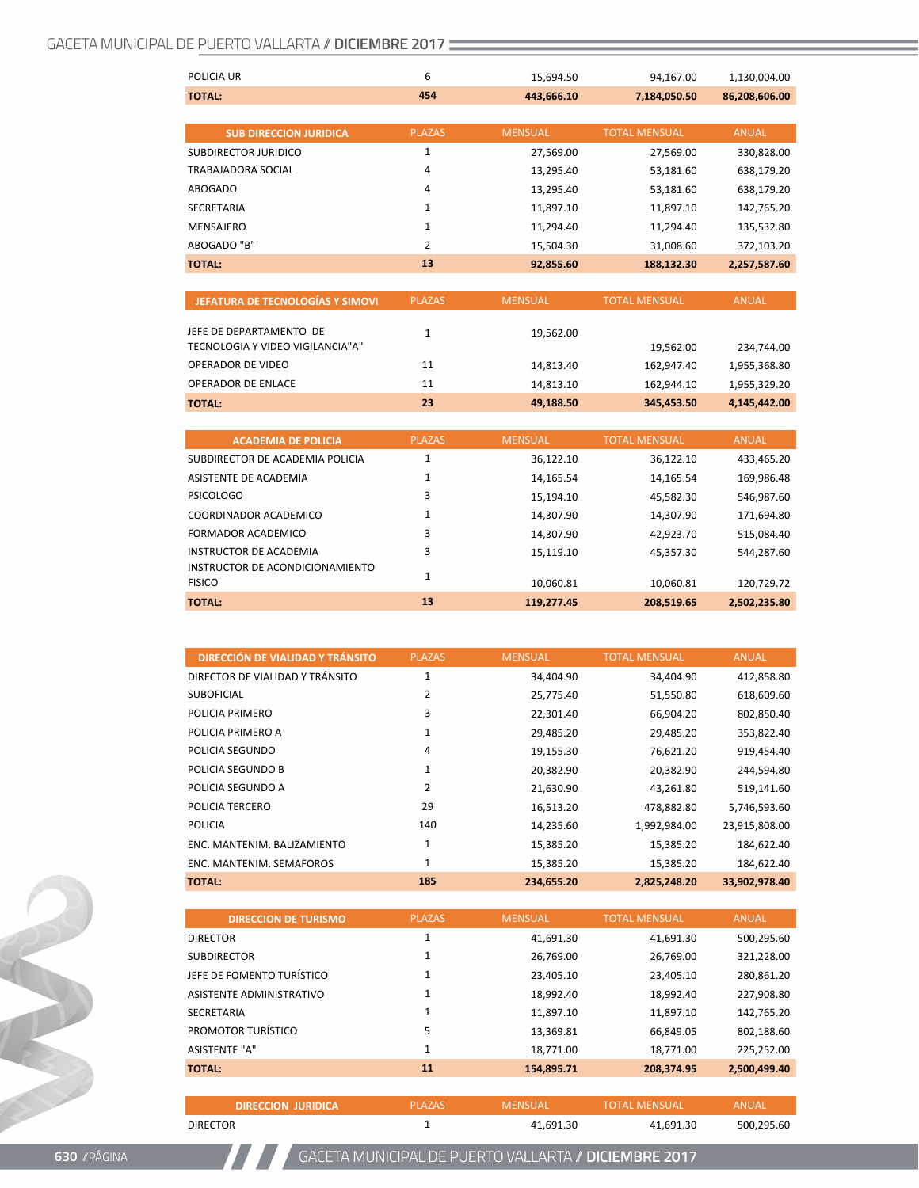| POLICIA UR                    | 6             | 15,694.50      | 94,167.00            | 1,130,004.00  |
|-------------------------------|---------------|----------------|----------------------|---------------|
| <b>TOTAL:</b>                 | 454           | 443,666.10     | 7,184,050.50         | 86,208,606.00 |
|                               |               |                |                      |               |
| <b>SUB DIRECCION JURIDICA</b> | <b>PLAZAS</b> | <b>MENSUAL</b> | <b>TOTAL MENSUAL</b> | ANUAL         |
| SUBDIRECTOR JURIDICO          | 1             | 27,569.00      | 27,569.00            | 330,828.00    |
| TRABAJADORA SOCIAL            | 4             | 13,295.40      | 53,181.60            | 638,179.20    |
| ABOGADO                       | 4             | 13,295.40      | 53,181.60            | 638,179.20    |
| <b>SECRETARIA</b>             | $\mathbf{1}$  | 11,897.10      | 11,897.10            | 142,765.20    |
| MENSAJERO                     | 1             | 11.294.40      | 11.294.40            | 135.532.80    |
| ABOGADO "B"                   | 2             | 15,504.30      | 31,008.60            | 372,103.20    |
| <b>TOTAL:</b>                 | 13            | 92,855.60      | 188,132.30           | 2,257,587.60  |

| JEFATURA DE TECNOLOGÍAS Y SIMOVI | <b>PLAZAS</b> | <b>MENSUAL</b> | <b>TOTAL MENSUAL</b> | <b>ANUAL</b> |
|----------------------------------|---------------|----------------|----------------------|--------------|
| JEFE DE DEPARTAMENTO DE          |               | 19,562.00      |                      |              |
| TECNOLOGIA Y VIDEO VIGILANCIA"A" |               |                | 19,562.00            | 234,744.00   |
| <b>OPERADOR DE VIDEO</b>         | 11            | 14,813.40      | 162,947.40           | 1,955,368.80 |
| <b>OPERADOR DE ENLACE</b>        | 11            | 14,813.10      | 162,944.10           | 1,955,329.20 |
| <b>TOTAL:</b>                    | 23            | 49,188.50      | 345,453.50           | 4,145,442.00 |

| <b>ACADEMIA DE POLICIA</b>      | <b>PLAZAS</b> | <b>MENSUAL</b> | <b>TOTAL MENSUAL</b> | <b>ANUAL</b> |
|---------------------------------|---------------|----------------|----------------------|--------------|
| SUBDIRECTOR DE ACADEMIA POLICIA |               | 36,122.10      | 36,122.10            | 433,465.20   |
| ASISTENTE DE ACADEMIA           |               | 14,165.54      | 14,165.54            | 169,986.48   |
| PSICOLOGO                       | 3             | 15,194.10      | 45,582.30            | 546,987.60   |
| COORDINADOR ACADEMICO           |               | 14.307.90      | 14.307.90            | 171,694.80   |
| <b>FORMADOR ACADEMICO</b>       | 3             | 14.307.90      | 42.923.70            | 515,084.40   |
| INSTRUCTOR DE ACADEMIA          | 3             | 15,119.10      | 45.357.30            | 544,287.60   |
| INSTRUCTOR DE ACONDICIONAMIENTO |               |                |                      |              |
| <b>FISICO</b>                   |               | 10.060.81      | 10.060.81            | 120,729.72   |
| <b>TOTAL:</b>                   | 13            | 119,277.45     | 208,519.65           | 2,502,235.80 |

| <b>DIRECCIÓN DE VIALIDAD Y TRÁNSITO</b> | <b>PLAZAS</b> | <b>MENSUAL</b> | <b>TOTAL MENSUAL</b> | <b>ANUAL</b>  |
|-----------------------------------------|---------------|----------------|----------------------|---------------|
| DIRECTOR DE VIALIDAD Y TRÁNSITO         | 1             | 34,404.90      | 34,404.90            | 412,858.80    |
| <b>SUBOFICIAL</b>                       | 2             | 25,775.40      | 51,550.80            | 618,609.60    |
| POLICIA PRIMERO                         | 3             | 22,301.40      | 66,904.20            | 802,850.40    |
| POLICIA PRIMERO A                       | 1             | 29,485.20      | 29,485.20            | 353,822.40    |
| POLICIA SEGUNDO                         | 4             | 19,155.30      | 76,621.20            | 919,454.40    |
| POLICIA SEGUNDO B                       | 1             | 20,382.90      | 20,382.90            | 244,594.80    |
| POLICIA SEGUNDO A                       | 2             | 21,630.90      | 43,261.80            | 519,141.60    |
| POLICIA TERCERO                         | 29            | 16,513.20      | 478,882.80           | 5,746,593.60  |
| <b>POLICIA</b>                          | 140           | 14,235.60      | 1,992,984.00         | 23,915,808.00 |
| ENC. MANTENIM. BALIZAMIENTO             | 1             | 15,385.20      | 15,385.20            | 184,622.40    |
| ENC. MANTENIM. SEMAFOROS                | 1             | 15,385.20      | 15,385.20            | 184,622.40    |
| <b>TOTAL:</b>                           | 185           | 234,655.20     | 2,825,248.20         | 33,902,978.40 |

| <b>DIRECCION DE TURISMO</b> | <b>PLAZAS</b> | <b>MENSUAL</b> | <b>TOTAL MENSUAL</b> | ANUAL        |
|-----------------------------|---------------|----------------|----------------------|--------------|
| <b>DIRECTOR</b>             | 1             | 41,691.30      | 41,691.30            | 500,295.60   |
| <b>SUBDIRECTOR</b>          | 1             | 26.769.00      | 26,769.00            | 321,228.00   |
| JEFE DE FOMENTO TURÍSTICO   | 1             | 23.405.10      | 23,405.10            | 280,861.20   |
| ASISTENTE ADMINISTRATIVO    | 1             | 18.992.40      | 18,992.40            | 227,908.80   |
| <b>SECRETARIA</b>           | 1             | 11.897.10      | 11,897.10            | 142,765.20   |
| PROMOTOR TURÍSTICO          | 5             | 13.369.81      | 66,849.05            | 802,188.60   |
| <b>ASISTENTE "A"</b>        | 1             | 18,771.00      | 18,771.00            | 225,252.00   |
| <b>TOTAL:</b>               | 11            | 154,895.71     | 208,374.95           | 2,500,499.40 |
|                             |               |                |                      |              |

**DIRECCION JURIDICA** PLAZAS MENSUAL TOTAL MENSUAL ANUAL

DIRECTOR 1 41,691.30 41,691.30 500,295.60

**630** //PÁGINA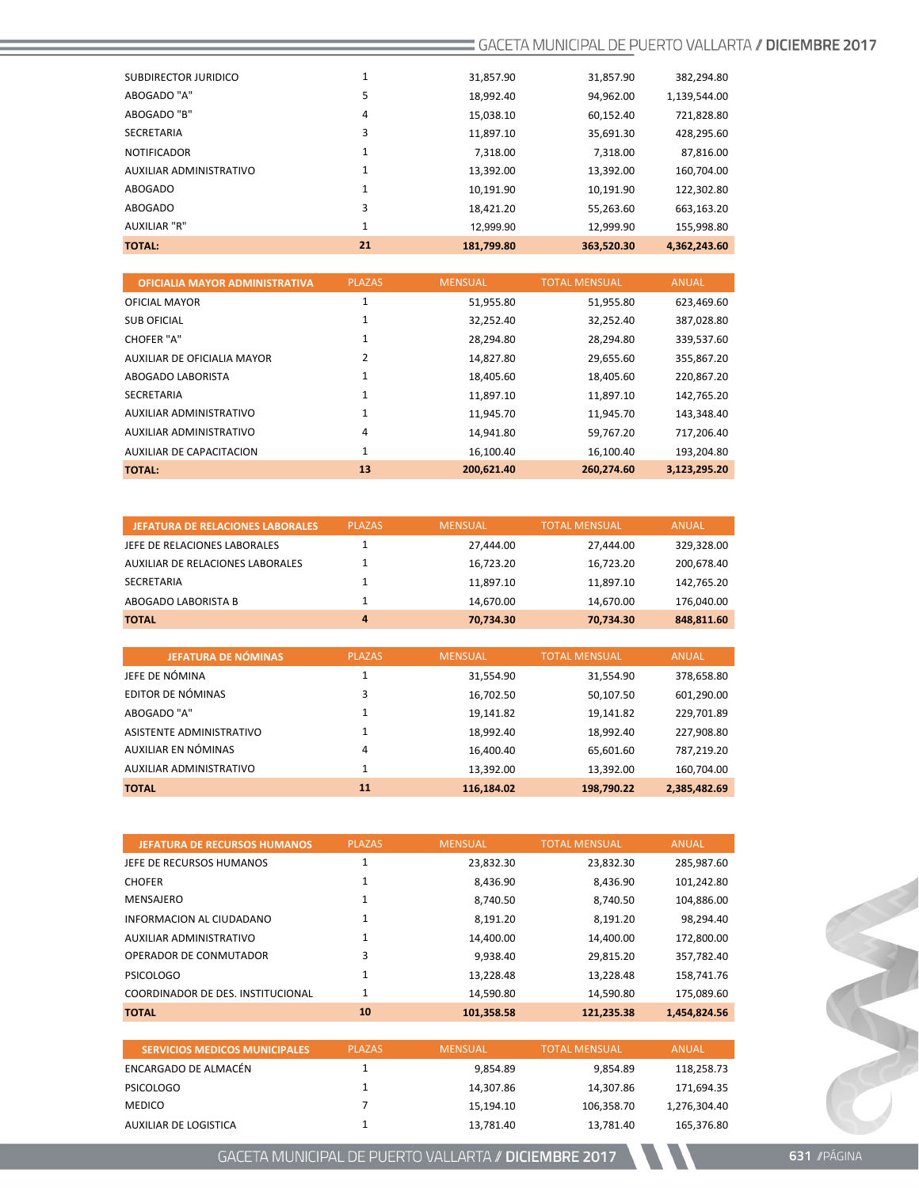| SUBDIRECTOR JURIDICO    |    | 31,857.90  | 31,857.90  | 382,294.80   |
|-------------------------|----|------------|------------|--------------|
| ABOGADO "A"             | 5  | 18,992.40  | 94,962.00  | 1,139,544.00 |
| ABOGADO "B"             | 4  | 15,038.10  | 60,152.40  | 721,828.80   |
| <b>SECRETARIA</b>       | 3  | 11.897.10  | 35.691.30  | 428,295.60   |
| <b>NOTIFICADOR</b>      | 1  | 7.318.00   | 7,318.00   | 87,816.00    |
| AUXILIAR ADMINISTRATIVO | 1  | 13,392.00  | 13,392.00  | 160,704.00   |
| ABOGADO                 |    | 10,191.90  | 10,191.90  | 122,302.80   |
| <b>ABOGADO</b>          | 3  | 18,421.20  | 55,263.60  | 663,163.20   |
| <b>AUXILIAR "R"</b>     | 1  | 12.999.90  | 12,999.90  | 155,998.80   |
| <b>TOTAL:</b>           | 21 | 181,799.80 | 363,520.30 | 4,362,243.60 |

| <b>OFICIALIA MAYOR ADMINISTRATIVA</b> | <b>PLAZAS</b> | <b>MENSUAL</b> | <b>TOTAL MENSUAL</b> | <b>ANUAL</b> |
|---------------------------------------|---------------|----------------|----------------------|--------------|
| <b>OFICIAL MAYOR</b>                  | 1             | 51,955.80      | 51,955.80            | 623,469.60   |
| <b>SUB OFICIAL</b>                    | 1             | 32,252.40      | 32,252.40            | 387,028.80   |
| CHOFER "A"                            | 1             | 28,294.80      | 28,294.80            | 339,537.60   |
| AUXILIAR DE OFICIALIA MAYOR           | 2             | 14,827.80      | 29,655.60            | 355,867.20   |
| ABOGADO LABORISTA                     | 1             | 18,405.60      | 18,405.60            | 220,867.20   |
| SECRETARIA                            | 1             | 11,897.10      | 11,897.10            | 142,765.20   |
| <b>AUXILIAR ADMINISTRATIVO</b>        | 1             | 11,945.70      | 11,945.70            | 143,348.40   |
| AUXILIAR ADMINISTRATIVO               | 4             | 14,941.80      | 59,767.20            | 717,206.40   |
| AUXILIAR DE CAPACITACION              | 1             | 16.100.40      | 16,100.40            | 193,204.80   |
| <b>TOTAL:</b>                         | 13            | 200,621.40     | 260,274.60           | 3,123,295.20 |

| <b>JEFATURA DE RELACIONES LABORALES</b> | <b>PLAZAS</b> | <b>MENSUAL</b> | <b>TOTAL MENSUAL</b> | ANUAL      |
|-----------------------------------------|---------------|----------------|----------------------|------------|
| JEFE DE RELACIONES LABORALES            |               | 27.444.00      | 27.444.00            | 329.328.00 |
| AUXILIAR DE RELACIONES LABORALES        |               | 16.723.20      | 16,723.20            | 200.678.40 |
| SECRETARIA                              |               | 11.897.10      | 11.897.10            | 142,765.20 |
| ABOGADO LABORISTA B                     |               | 14.670.00      | 14.670.00            | 176,040.00 |
| <b>TOTAL</b>                            | 4             | 70,734.30      | 70,734.30            | 848.811.60 |

| <b>JEFATURA DE NÓMINAS</b> | <b>PLAZAS</b> | MENSUAL,   | <b>TOTAL MENSUAL</b> | <b>ANUAL</b> |
|----------------------------|---------------|------------|----------------------|--------------|
| JEFE DE NÓMINA             |               | 31,554.90  | 31,554.90            | 378,658.80   |
| EDITOR DE NÓMINAS          | 3             | 16,702.50  | 50,107.50            | 601,290.00   |
| ABOGADO "A"                |               | 19,141.82  | 19,141.82            | 229,701.89   |
| ASISTENTE ADMINISTRATIVO   |               | 18,992.40  | 18,992.40            | 227,908.80   |
| AUXILIAR EN NÓMINAS        | 4             | 16,400.40  | 65,601.60            | 787,219.20   |
| AUXILIAR ADMINISTRATIVO    |               | 13,392.00  | 13,392.00            | 160,704.00   |
| <b>TOTAL</b>               | 11            | 116,184.02 | 198,790.22           | 2,385,482.69 |

| <b>JEFATURA DE RECURSOS HUMANOS</b> | <b>PLAZAS</b> | <b>MENSUAL</b> | <b>TOTAL MENSUAL</b> | <b>ANUAL</b> |
|-------------------------------------|---------------|----------------|----------------------|--------------|
| JEFE DE RECURSOS HUMANOS            | 1             | 23,832.30      | 23,832.30            | 285,987.60   |
| <b>CHOFER</b>                       | 1             | 8.436.90       | 8.436.90             | 101,242.80   |
| MENSAJERO                           | 1             | 8,740.50       | 8,740.50             | 104,886.00   |
| INFORMACION AL CIUDADANO            | 1             | 8.191.20       | 8,191.20             | 98,294.40    |
| AUXILIAR ADMINISTRATIVO             | 1             | 14,400.00      | 14,400.00            | 172,800.00   |
| OPERADOR DE CONMUTADOR              | 3             | 9.938.40       | 29,815.20            | 357,782.40   |
| <b>PSICOLOGO</b>                    | 1             | 13.228.48      | 13,228.48            | 158,741.76   |
| COORDINADOR DE DES. INSTITUCIONAL   | 1             | 14.590.80      | 14,590.80            | 175,089.60   |
| <b>TOTAL</b>                        | 10            | 101,358.58     | 121,235.38           | 1,454,824.56 |
|                                     |               |                |                      |              |

| <b>SERVICIOS MEDICOS MUNICIPALES</b> | <b>PLAZAS</b> | MENSUAL   | <b>TOTAL MENSUAL</b> | <b>ANUAL</b> |
|--------------------------------------|---------------|-----------|----------------------|--------------|
| ENCARGADO DE ALMACÉN                 |               | 9.854.89  | 9.854.89             | 118,258.73   |
| PSICOLOGO                            |               | 14.307.86 | 14.307.86            | 171.694.35   |
| <b>MEDICO</b>                        |               | 15.194.10 | 106.358.70           | 1,276,304.40 |
| AUXILIAR DE LOGISTICA                |               | 13.781.40 | 13,781.40            | 165,376.80   |

GACETA MUNICIPAL DE PUERTO VALLARTA // DICIEMBRE 2017

Reception of